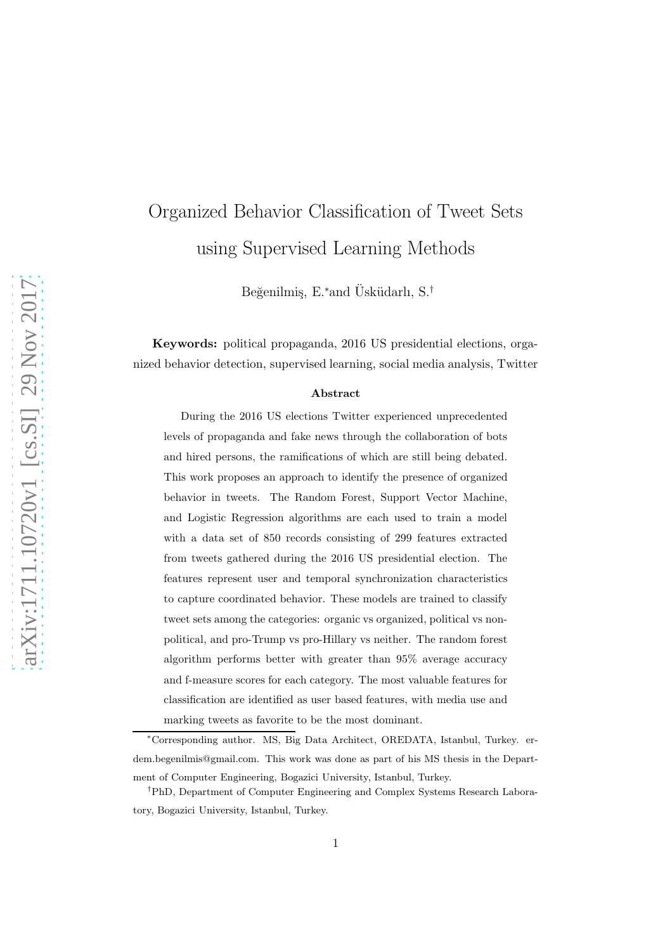# Organized Behavior Classification of Tweet Sets using Supervised Learning Methods

Beğenilmiş, E.\*and Üsküdarlı, S.<sup>†</sup>

Keywords: political propaganda, 2016 US presidential elections, organized behavior detection, supervised learning, social media analysis, Twitter

#### Abstract

During the 2016 US elections Twitter experienced unprecedented levels of propaganda and fake news through the collaboration of bots and hired persons, the ramifications of which are still being debated. This work proposes an approach to identify the presence of organized behavior in tweets. The Random Forest, Support Vector Machine, and Logistic Regression algorithms are each used to train a model with a data set of 850 records consisting of 299 features extracted from tweets gathered during the 2016 US presidential election. The features represent user and temporal synchronization characteristics to capture coordinated behavior. These models are trained to classify tweet sets among the categories: organic vs organized, political vs nonpolitical, and pro-Trump vs pro-Hillary vs neither. The random forest algorithm performs better with greater than 95% average accuracy and f-measure scores for each category. The most valuable features for classification are identified as user based features, with media use and marking tweets as favorite to be the most dominant.

<sup>∗</sup>Corresponding author. MS, Big Data Architect, OREDATA, Istanbul, Turkey. erdem.begenilmis@gmail.com. This work was done as part of his MS thesis in the Department of Computer Engineering, Bogazici University, Istanbul, Turkey.

<sup>†</sup>PhD, Department of Computer Engineering and Complex Systems Research Laboratory, Bogazici University, Istanbul, Turkey.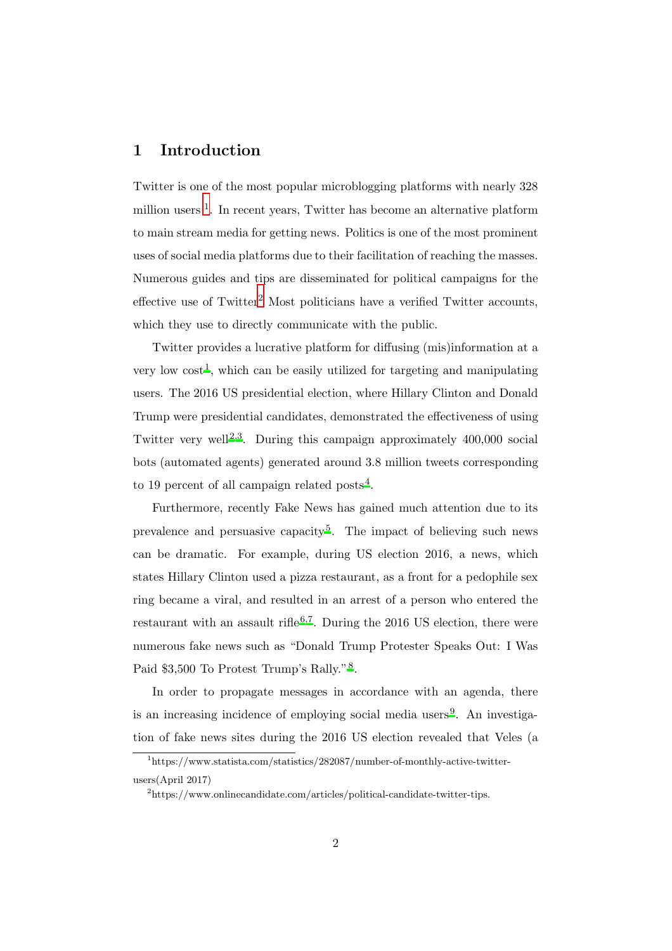## 1 Introduction

Twitter is one of the most popular microblogging platforms with nearly 328 million users <sup>[1](#page-1-0)</sup>. In recent years, Twitter has become an alternative platform to main stream media for getting news. Politics is one of the most prominent uses of social media platforms due to their facilitation of reaching the masses. Numerous guides and tips are disseminated for political campaigns for the effective use of  $Twitter<sup>2</sup>$  $Twitter<sup>2</sup>$  $Twitter<sup>2</sup>$  Most politicians have a verified Twitter accounts, which they use to directly communicate with the public.

Twitter provides a lucrative platform for diffusing (mis)information at a very low  $\text{cost}^1$  $\text{cost}^1$ , which can be easily utilized for targeting and manipulating users. The 2016 US presidential election, where Hillary Clinton and Donald Trump were presidential candidates, demonstrated the effectiveness of using Twitter very well<sup>[2](#page-45-1)[,3](#page-45-2)</sup>. During this campaign approximately  $400,000$  social bots (automated agents) generated around 3.8 million tweets corresponding to 19 percent of all campaign related posts<sup>[4](#page-45-3)</sup>.

Furthermore, recently Fake News has gained much attention due to its prevalence and persuasive capacity<sup>[5](#page-45-4)</sup>. The impact of believing such news can be dramatic. For example, during US election 2016, a news, which states Hillary Clinton used a pizza restaurant, as a front for a pedophile sex ring became a viral, and resulted in an arrest of a person who entered the restaurant with an assault rifle<sup>[6](#page-45-5)[,7](#page-45-6)</sup>. During the 2016 US election, there were numerous fake news such as "Donald Trump Protester Speaks Out: I Was Paid \$3,500 To Protest Trump's Rally."<sup>[8](#page-45-7)</sup>.

In order to propagate messages in accordance with an agenda, there is an increasing incidence of employing social media users<sup>[9](#page-45-8)</sup>. An investigation of fake news sites during the 2016 US election revealed that Veles (a

<sup>1</sup> https://www.statista.com/statistics/282087/number-of-monthly-active-twitterusers(April 2017)

<span id="page-1-1"></span><span id="page-1-0"></span><sup>&</sup>lt;sup>2</sup>https://www.onlinecandidate.com/articles/political-candidate-twitter-tips.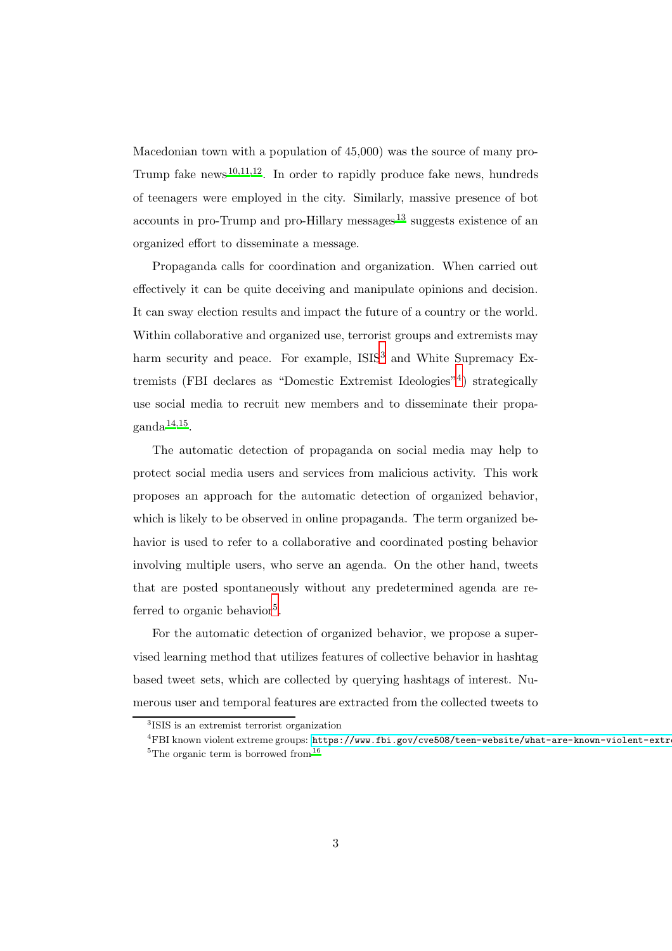Macedonian town with a population of 45,000) was the source of many pro-Trump fake news<sup>[10](#page-45-9)[,11](#page-46-0)[,12](#page-46-1)</sup>. In order to rapidly produce fake news, hundreds of teenagers were employed in the city. Similarly, massive presence of bot accounts in pro-Trump and pro-Hillary messages $^{13}$  $^{13}$  $^{13}$  suggests existence of an organized effort to disseminate a message.

Propaganda calls for coordination and organization. When carried out effectively it can be quite deceiving and manipulate opinions and decision. It can sway election results and impact the future of a country or the world. Within collaborative and organized use, terrorist groups and extremists may harm security and peace. For example,  $ISIS<sup>3</sup>$  $ISIS<sup>3</sup>$  $ISIS<sup>3</sup>$  and White Supremacy Extremists (FBI declares as "Domestic Extremist Ideologies"[4](#page-2-1) ) strategically use social media to recruit new members and to disseminate their propa- $\mathrm{ganda}^{14,15}.$  $\mathrm{ganda}^{14,15}.$  $\mathrm{ganda}^{14,15}.$  $\mathrm{ganda}^{14,15}.$ 

The automatic detection of propaganda on social media may help to protect social media users and services from malicious activity. This work proposes an approach for the automatic detection of organized behavior, which is likely to be observed in online propaganda. The term organized behavior is used to refer to a collaborative and coordinated posting behavior involving multiple users, who serve an agenda. On the other hand, tweets that are posted spontaneously without any predetermined agenda are re-ferred to organic behavior<sup>[5](#page-2-2)</sup>.

For the automatic detection of organized behavior, we propose a supervised learning method that utilizes features of collective behavior in hashtag based tweet sets, which are collected by querying hashtags of interest. Numerous user and temporal features are extracted from the collected tweets to

<sup>3</sup> ISIS is an extremist terrorist organization

<span id="page-2-2"></span><span id="page-2-1"></span><span id="page-2-0"></span> ${}^{4}$ FBI known violent extreme groups: https://www.fbi.gov/cve508/teen-website/what-are-known-violent-extr <sup>5</sup>The organic term is borrowed from  $16$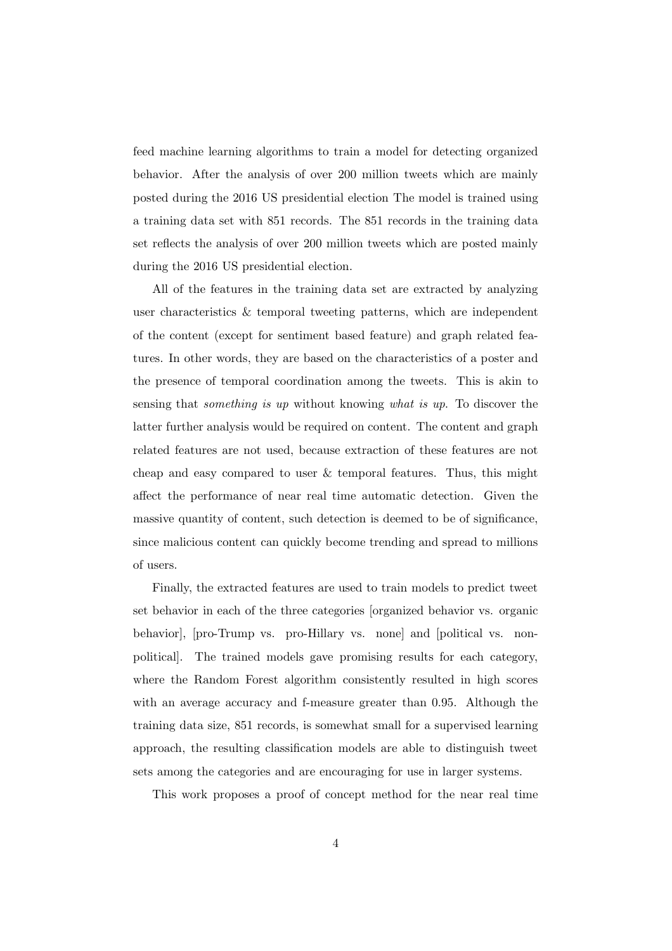feed machine learning algorithms to train a model for detecting organized behavior. After the analysis of over 200 million tweets which are mainly posted during the 2016 US presidential election The model is trained using a training data set with 851 records. The 851 records in the training data set reflects the analysis of over 200 million tweets which are posted mainly during the 2016 US presidential election.

All of the features in the training data set are extracted by analyzing user characteristics & temporal tweeting patterns, which are independent of the content (except for sentiment based feature) and graph related features. In other words, they are based on the characteristics of a poster and the presence of temporal coordination among the tweets. This is akin to sensing that *something is up* without knowing *what is up*. To discover the latter further analysis would be required on content. The content and graph related features are not used, because extraction of these features are not cheap and easy compared to user & temporal features. Thus, this might affect the performance of near real time automatic detection. Given the massive quantity of content, such detection is deemed to be of significance, since malicious content can quickly become trending and spread to millions of users.

Finally, the extracted features are used to train models to predict tweet set behavior in each of the three categories [organized behavior vs. organic behavior], [pro-Trump vs. pro-Hillary vs. none] and [political vs. nonpolitical]. The trained models gave promising results for each category, where the Random Forest algorithm consistently resulted in high scores with an average accuracy and f-measure greater than 0.95. Although the training data size, 851 records, is somewhat small for a supervised learning approach, the resulting classification models are able to distinguish tweet sets among the categories and are encouraging for use in larger systems.

This work proposes a proof of concept method for the near real time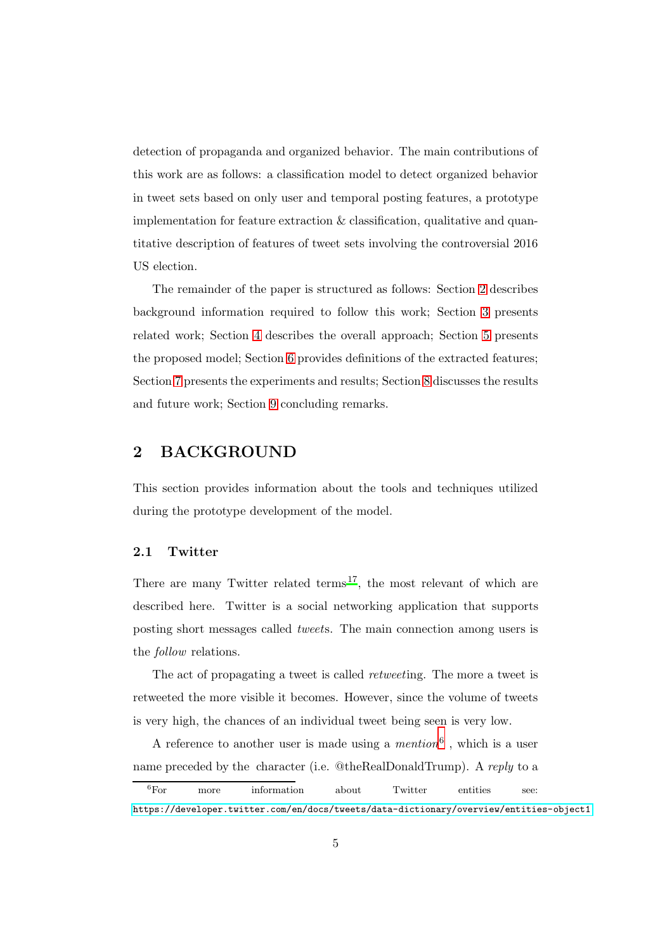detection of propaganda and organized behavior. The main contributions of this work are as follows: a classification model to detect organized behavior in tweet sets based on only user and temporal posting features, a prototype implementation for feature extraction  $\&$  classification, qualitative and quantitative description of features of tweet sets involving the controversial 2016 US election.

The remainder of the paper is structured as follows: Section [2](#page-4-0) describes background information required to follow this work; Section [3](#page-7-0) presents related work; Section [4](#page-9-0) describes the overall approach; Section [5](#page-12-0) presents the proposed model; Section [6](#page-15-0) provides definitions of the extracted features; Section [7](#page-25-0) presents the experiments and results; Section [8](#page-41-0) discusses the results and future work; Section [9](#page-44-0) concluding remarks.

## <span id="page-4-0"></span>2 BACKGROUND

This section provides information about the tools and techniques utilized during the prototype development of the model.

## 2.1 Twitter

There are many Twitter related terms<sup>[17](#page-46-5)</sup>, the most relevant of which are described here. Twitter is a social networking application that supports posting short messages called *tweet*s. The main connection among users is the *follow* relations.

The act of propagating a tweet is called *retweet*ing. The more a tweet is retweeted the more visible it becomes. However, since the volume of tweets is very high, the chances of an individual tweet being seen is very low.

A reference to another user is made using a *mention*[6](#page-4-1) , which is a user name preceded by the character (i.e. @theRealDonaldTrump). A *reply* to a

<span id="page-4-1"></span><sup>&</sup>lt;sup>6</sup>For more information about Twitter entities see: <https://developer.twitter.com/en/docs/tweets/data-dictionary/overview/entities-object1>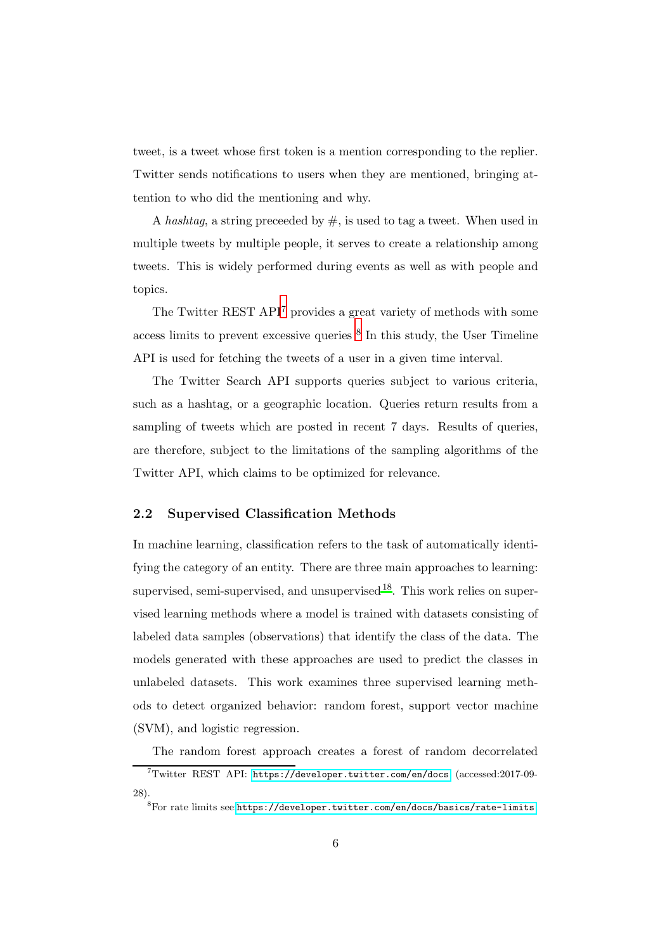tweet, is a tweet whose first token is a mention corresponding to the replier. Twitter sends notifications to users when they are mentioned, bringing attention to who did the mentioning and why.

A *hashtag*, a string preceeded by #, is used to tag a tweet. When used in multiple tweets by multiple people, it serves to create a relationship among tweets. This is widely performed during events as well as with people and topics.

The Twitter REST API<sup>[7](#page-5-0)</sup> provides a great variety of methods with some access limits to prevent excessive queries [8](#page-5-1) In this study, the User Timeline API is used for fetching the tweets of a user in a given time interval.

The Twitter Search API supports queries subject to various criteria, such as a hashtag, or a geographic location. Queries return results from a sampling of tweets which are posted in recent 7 days. Results of queries, are therefore, subject to the limitations of the sampling algorithms of the Twitter API, which claims to be optimized for relevance.

## <span id="page-5-2"></span>2.2 Supervised Classification Methods

In machine learning, classification refers to the task of automatically identifying the category of an entity. There are three main approaches to learning: supervised, semi-supervised, and unsupervised  $18$ . This work relies on supervised learning methods where a model is trained with datasets consisting of labeled data samples (observations) that identify the class of the data. The models generated with these approaches are used to predict the classes in unlabeled datasets. This work examines three supervised learning methods to detect organized behavior: random forest, support vector machine (SVM), and logistic regression.

The random forest approach creates a forest of random decorrelated

<span id="page-5-0"></span> $7$ Twitter REST API: <https://developer.twitter.com/en/docs> (accessed:2017-09-28).

<span id="page-5-1"></span> ${}^{8}$ For rate limits see:<https://developer.twitter.com/en/docs/basics/rate-limits>.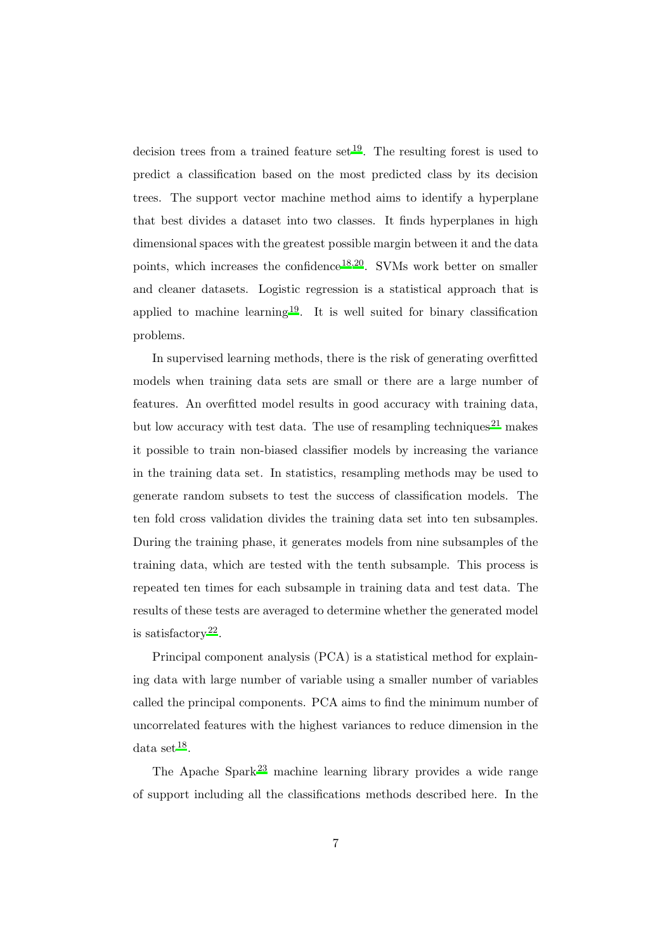decision trees from a trained feature set  $19$ . The resulting forest is used to predict a classification based on the most predicted class by its decision trees. The support vector machine method aims to identify a hyperplane that best divides a dataset into two classes. It finds hyperplanes in high dimensional spaces with the greatest possible margin between it and the data points, which increases the confidence<sup>[18](#page-46-6)[,20](#page-47-0)</sup>. SVMs work better on smaller and cleaner datasets. Logistic regression is a statistical approach that is applied to machine learning<sup>[19](#page-46-7)</sup>. It is well suited for binary classification problems.

In supervised learning methods, there is the risk of generating overfitted models when training data sets are small or there are a large number of features. An overfitted model results in good accuracy with training data, but low accuracy with test data. The use of resampling techniques<sup>[21](#page-47-1)</sup> makes it possible to train non-biased classifier models by increasing the variance in the training data set. In statistics, resampling methods may be used to generate random subsets to test the success of classification models. The ten fold cross validation divides the training data set into ten subsamples. During the training phase, it generates models from nine subsamples of the training data, which are tested with the tenth subsample. This process is repeated ten times for each subsample in training data and test data. The results of these tests are averaged to determine whether the generated model is satisfactory<sup>[22](#page-47-2)</sup>.

Principal component analysis (PCA) is a statistical method for explaining data with large number of variable using a smaller number of variables called the principal components. PCA aims to find the minimum number of uncorrelated features with the highest variances to reduce dimension in the data set  $18$ .

The Apache Spark<sup>[23](#page-47-3)</sup> machine learning library provides a wide range of support including all the classifications methods described here. In the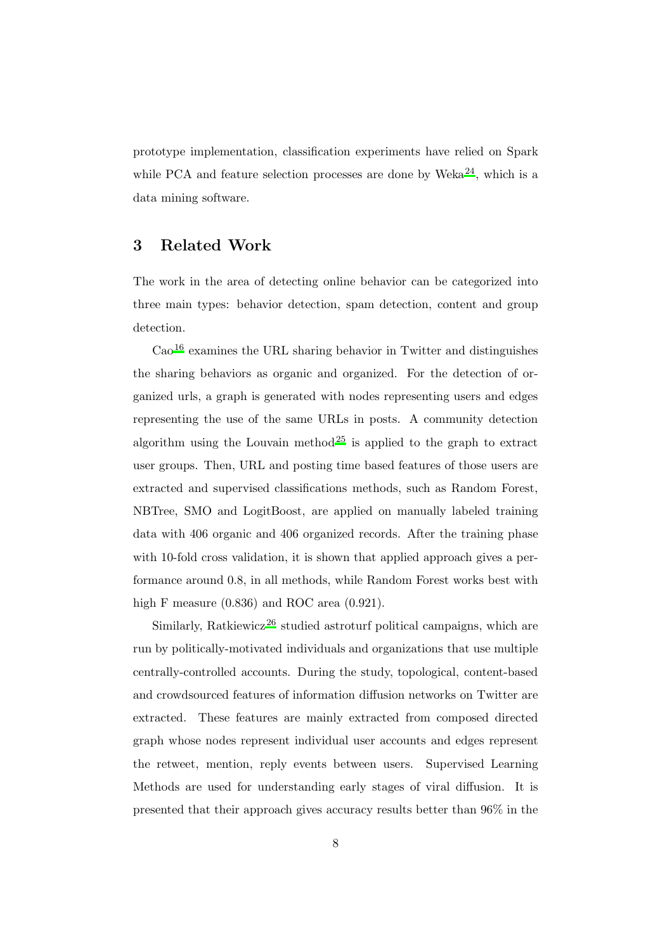prototype implementation, classification experiments have relied on Spark while PCA and feature selection processes are done by Weka<sup>[24](#page-47-4)</sup>, which is a data mining software.

## <span id="page-7-0"></span>3 Related Work

The work in the area of detecting online behavior can be categorized into three main types: behavior detection, spam detection, content and group detection.

 $\text{Cao}^{16}$  $\text{Cao}^{16}$  $\text{Cao}^{16}$  examines the URL sharing behavior in Twitter and distinguishes the sharing behaviors as organic and organized. For the detection of organized urls, a graph is generated with nodes representing users and edges representing the use of the same URLs in posts. A community detection algorithm using the Louvain method<sup>[25](#page-47-5)</sup> is applied to the graph to extract user groups. Then, URL and posting time based features of those users are extracted and supervised classifications methods, such as Random Forest, NBTree, SMO and LogitBoost, are applied on manually labeled training data with 406 organic and 406 organized records. After the training phase with 10-fold cross validation, it is shown that applied approach gives a performance around 0.8, in all methods, while Random Forest works best with high F measure  $(0.836)$  and ROC area  $(0.921)$ .

Similarly, Ratkiewicz<sup>[26](#page-47-6)</sup> studied astroturf political campaigns, which are run by politically-motivated individuals and organizations that use multiple centrally-controlled accounts. During the study, topological, content-based and crowdsourced features of information diffusion networks on Twitter are extracted. These features are mainly extracted from composed directed graph whose nodes represent individual user accounts and edges represent the retweet, mention, reply events between users. Supervised Learning Methods are used for understanding early stages of viral diffusion. It is presented that their approach gives accuracy results better than 96% in the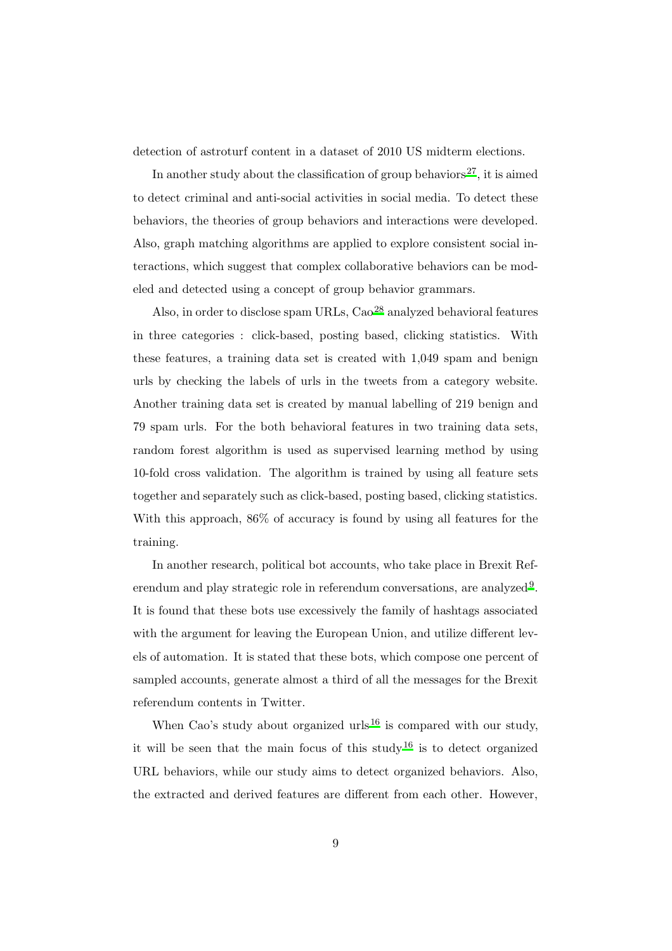detection of astroturf content in a dataset of 2010 US midterm elections.

In another study about the classification of group behaviors<sup>[27](#page-47-7)</sup>, it is aimed to detect criminal and anti-social activities in social media. To detect these behaviors, the theories of group behaviors and interactions were developed. Also, graph matching algorithms are applied to explore consistent social interactions, which suggest that complex collaborative behaviors can be modeled and detected using a concept of group behavior grammars.

Also, in order to disclose spam URLs, Cao<sup>[28](#page-47-8)</sup> analyzed behavioral features in three categories : click-based, posting based, clicking statistics. With these features, a training data set is created with 1,049 spam and benign urls by checking the labels of urls in the tweets from a category website. Another training data set is created by manual labelling of 219 benign and 79 spam urls. For the both behavioral features in two training data sets, random forest algorithm is used as supervised learning method by using 10-fold cross validation. The algorithm is trained by using all feature sets together and separately such as click-based, posting based, clicking statistics. With this approach, 86% of accuracy is found by using all features for the training.

In another research, political bot accounts, who take place in Brexit Ref-erendum and play strategic role in referendum conversations, are analyzed<sup>[9](#page-45-8)</sup>. It is found that these bots use excessively the family of hashtags associated with the argument for leaving the European Union, and utilize different levels of automation. It is stated that these bots, which compose one percent of sampled accounts, generate almost a third of all the messages for the Brexit referendum contents in Twitter.

When Cao's study about organized urls<sup>[16](#page-46-8)</sup> is compared with our study, it will be seen that the main focus of this study<sup>[16](#page-46-8)</sup> is to detect organized URL behaviors, while our study aims to detect organized behaviors. Also, the extracted and derived features are different from each other. However,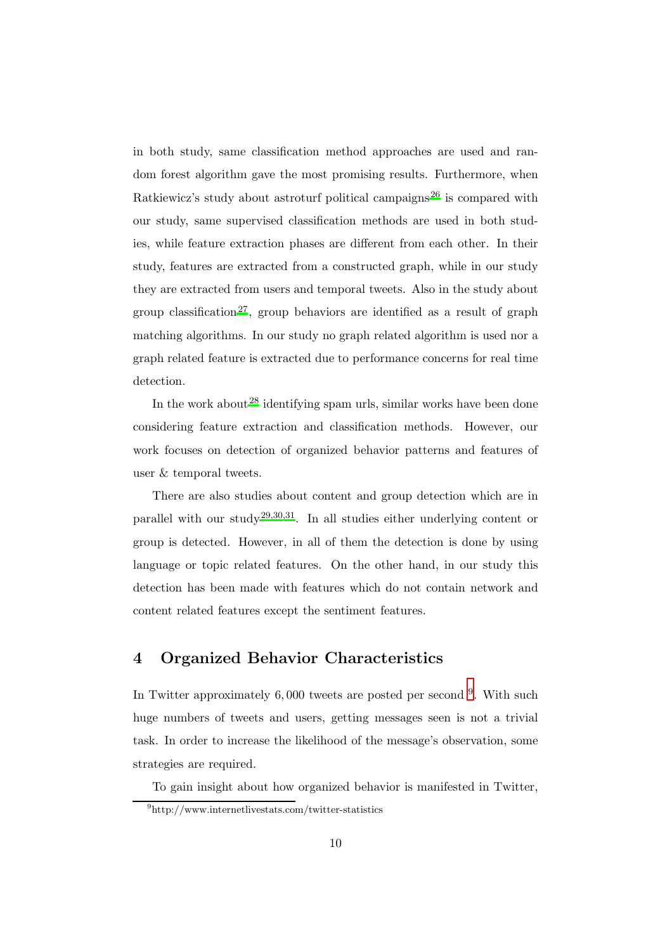in both study, same classification method approaches are used and random forest algorithm gave the most promising results. Furthermore, when Ratkiewicz's study about astroturf political campaigns<sup>[26](#page-47-6)</sup> is compared with our study, same supervised classification methods are used in both studies, while feature extraction phases are different from each other. In their study, features are extracted from a constructed graph, while in our study they are extracted from users and temporal tweets. Also in the study about group classification<sup>[27](#page-47-7)</sup>, group behaviors are identified as a result of graph matching algorithms. In our study no graph related algorithm is used nor a graph related feature is extracted due to performance concerns for real time detection.

In the work about  $28$  identifying spam urls, similar works have been done considering feature extraction and classification methods. However, our work focuses on detection of organized behavior patterns and features of user & temporal tweets.

There are also studies about content and group detection which are in parallel with our study<sup>[29](#page-48-0)[,30](#page-48-1)[,31](#page-48-2)</sup>. In all studies either underlying content or group is detected. However, in all of them the detection is done by using language or topic related features. On the other hand, in our study this detection has been made with features which do not contain network and content related features except the sentiment features.

# <span id="page-9-0"></span>4 Organized Behavior Characteristics

In Twitter approximately  $6,000$  tweets are posted per second  $9$ . With such huge numbers of tweets and users, getting messages seen is not a trivial task. In order to increase the likelihood of the message's observation, some strategies are required.

To gain insight about how organized behavior is manifested in Twitter,

<span id="page-9-1"></span><sup>9</sup> http://www.internetlivestats.com/twitter-statistics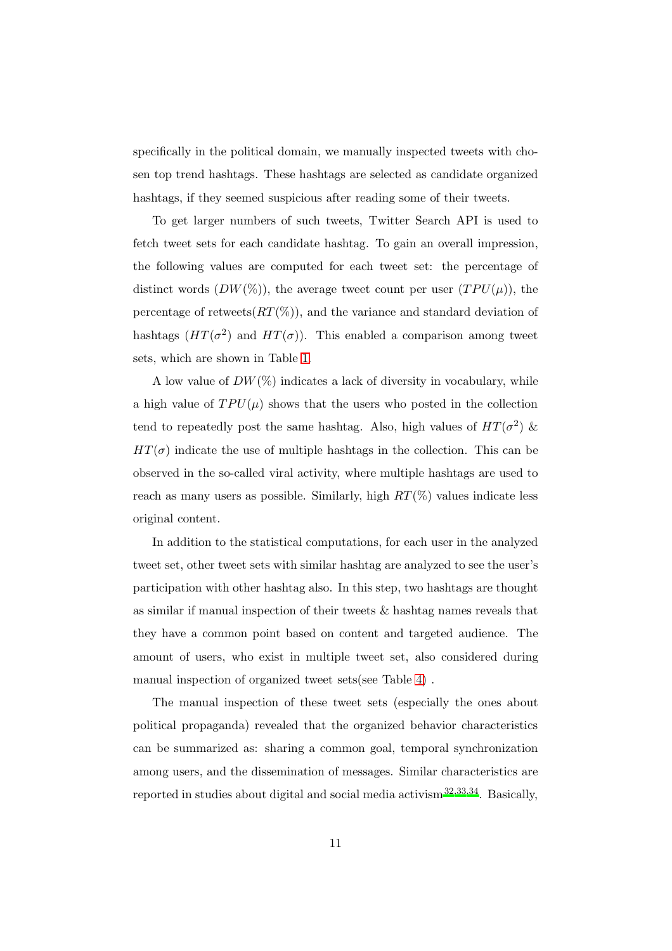specifically in the political domain, we manually inspected tweets with chosen top trend hashtags. These hashtags are selected as candidate organized hashtags, if they seemed suspicious after reading some of their tweets.

To get larger numbers of such tweets, Twitter Search API is used to fetch tweet sets for each candidate hashtag. To gain an overall impression, the following values are computed for each tweet set: the percentage of distinct words  $(DW(\%))$ , the average tweet count per user  $(TPU(\mu))$ , the percentage of retweets $(RT(\%))$ , and the variance and standard deviation of hashtags  $(HT(\sigma^2)$  and  $HT(\sigma)$ ). This enabled a comparison among tweet sets, which are shown in Table [1.](#page-11-0)

A low value of  $DW(\%)$  indicates a lack of diversity in vocabulary, while a high value of  $TPU(\mu)$  shows that the users who posted in the collection tend to repeatedly post the same hashtag. Also, high values of  $HT(\sigma^2)$  &  $HT(\sigma)$  indicate the use of multiple hashtags in the collection. This can be observed in the so-called viral activity, where multiple hashtags are used to reach as many users as possible. Similarly, high  $RT(\%)$  values indicate less original content.

In addition to the statistical computations, for each user in the analyzed tweet set, other tweet sets with similar hashtag are analyzed to see the user's participation with other hashtag also. In this step, two hashtags are thought as similar if manual inspection of their tweets & hashtag names reveals that they have a common point based on content and targeted audience. The amount of users, who exist in multiple tweet set, also considered during manual inspection of organized tweet sets(see Table [4\)](#page-30-0) .

The manual inspection of these tweet sets (especially the ones about political propaganda) revealed that the organized behavior characteristics can be summarized as: sharing a common goal, temporal synchronization among users, and the dissemination of messages. Similar characteristics are reported in studies about digital and social media activism $32,33,34$  $32,33,34$  $32,33,34$ . Basically,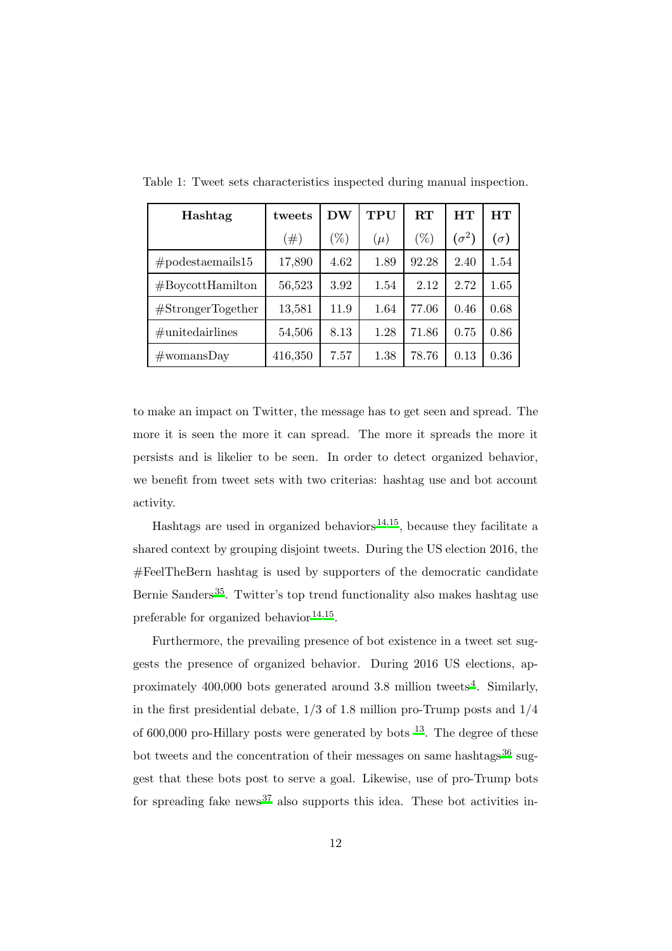<span id="page-11-0"></span>

| Hashtag                     | tweets  | DW     | TPU     | $\mathbf{R} \mathbf{T}$ | HТ           | HТ         |
|-----------------------------|---------|--------|---------|-------------------------|--------------|------------|
|                             | #)      | $(\%)$ | $(\mu)$ | $(\%)$                  | $(\sigma^2)$ | $(\sigma)$ |
| $#podes to the real 15$     | 17,890  | 4.62   | 1.89    | 92.28                   | 2.40         | 1.54       |
| #Boycott Hamilton           | 56,523  | 3.92   | 1.54    | 2.12                    | 2.72         | 1.65       |
| $# \text{StrongerTogether}$ | 13,581  | 11.9   | 1.64    | 77.06                   | 0.46         | 0.68       |
| $\#$ unitedairlines         | 54,506  | 8.13   | 1.28    | 71.86                   | 0.75         | 0.86       |
| $\#\text{womansDay}$        | 416,350 | 7.57   | 1.38    | 78.76                   | 0.13         | 0.36       |

Table 1: Tweet sets characteristics inspected during manual inspection.

to make an impact on Twitter, the message has to get seen and spread. The more it is seen the more it can spread. The more it spreads the more it persists and is likelier to be seen. In order to detect organized behavior, we benefit from tweet sets with two criterias: hashtag use and bot account activity.

Hashtags are used in organized behaviors<sup>[14](#page-46-3)[,15](#page-46-4)</sup>, because they facilitate a shared context by grouping disjoint tweets. During the US election 2016, the #FeelTheBern hashtag is used by supporters of the democratic candidate Bernie Sanders<sup>[35](#page-48-6)</sup>. Twitter's top trend functionality also makes hashtag use preferable for organized behavior  $14,15$  $14,15$ .

Furthermore, the prevailing presence of bot existence in a tweet set suggests the presence of organized behavior. During 2016 US elections, approximately  $400,000$  $400,000$  bots generated around 3.8 million tweets<sup>4</sup>. Similarly, in the first presidential debate,  $1/3$  of 1.8 million pro-Trump posts and  $1/4$ of 600,000 pro-Hillary posts were generated by bots  $^{13}$  $^{13}$  $^{13}$ . The degree of these bot tweets and the concentration of their messages on same hashtags<sup>[36](#page-48-7)</sup> suggest that these bots post to serve a goal. Likewise, use of pro-Trump bots for spreading fake news<sup>[37](#page-48-8)</sup> also supports this idea. These bot activities in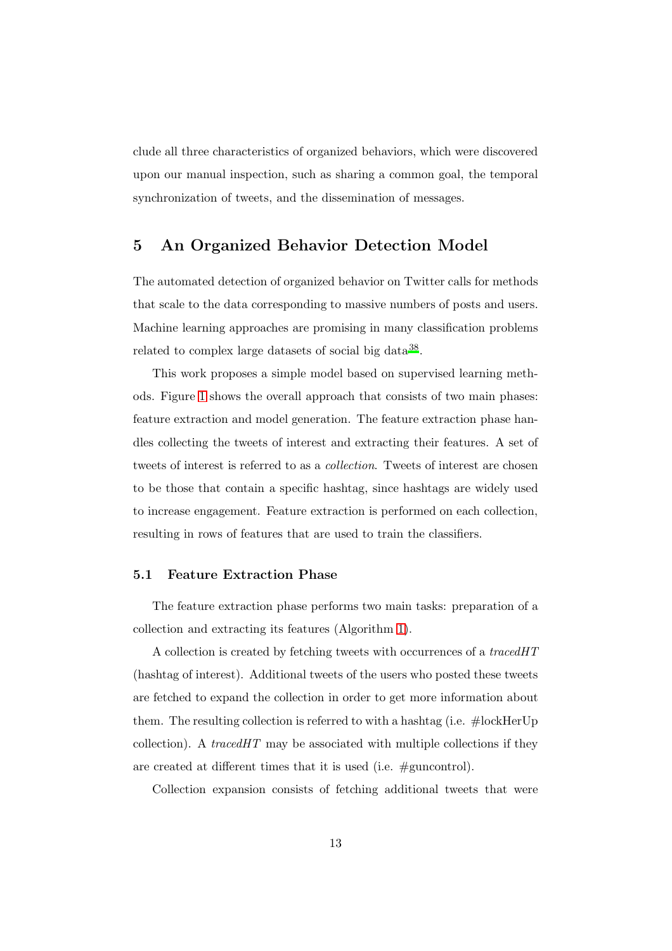clude all three characteristics of organized behaviors, which were discovered upon our manual inspection, such as sharing a common goal, the temporal synchronization of tweets, and the dissemination of messages.

# <span id="page-12-0"></span>5 An Organized Behavior Detection Model

The automated detection of organized behavior on Twitter calls for methods that scale to the data corresponding to massive numbers of posts and users. Machine learning approaches are promising in many classification problems related to complex large datasets of social big data<sup>[38](#page-49-0)</sup>.

This work proposes a simple model based on supervised learning methods. Figure [1](#page-14-0) shows the overall approach that consists of two main phases: feature extraction and model generation. The feature extraction phase handles collecting the tweets of interest and extracting their features. A set of tweets of interest is referred to as a *collection*. Tweets of interest are chosen to be those that contain a specific hashtag, since hashtags are widely used to increase engagement. Feature extraction is performed on each collection, resulting in rows of features that are used to train the classifiers.

## 5.1 Feature Extraction Phase

The feature extraction phase performs two main tasks: preparation of a collection and extracting its features (Algorithm [1\)](#page-13-0).

A collection is created by fetching tweets with occurrences of a *tracedHT* (hashtag of interest). Additional tweets of the users who posted these tweets are fetched to expand the collection in order to get more information about them. The resulting collection is referred to with a hashtag (i.e. #lockHerUp collection). A *tracedHT* may be associated with multiple collections if they are created at different times that it is used (i.e. #guncontrol).

Collection expansion consists of fetching additional tweets that were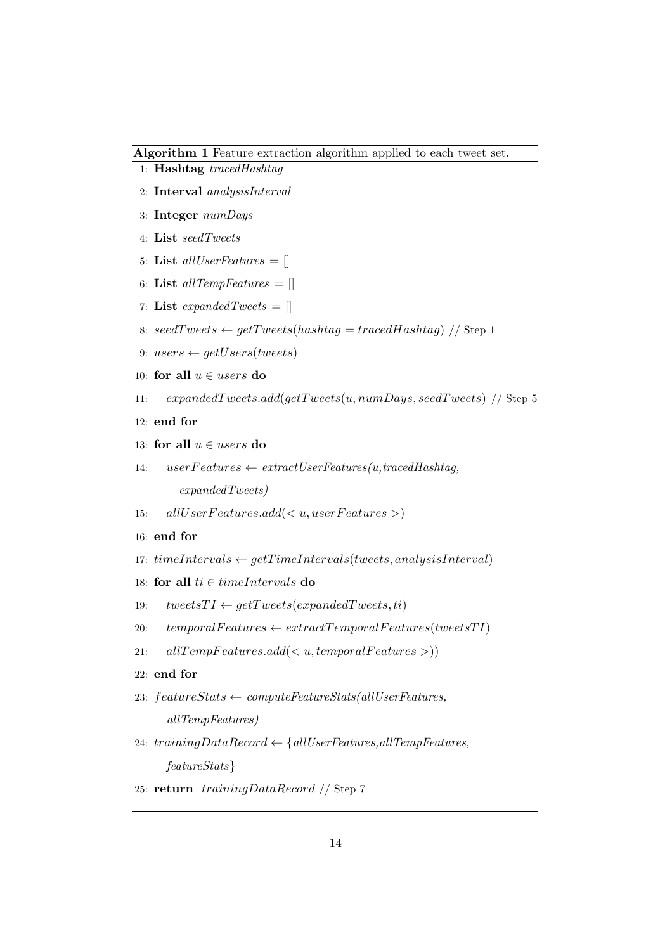#### <span id="page-13-0"></span>Algorithm 1 Feature extraction algorithm applied to each tweet set.

- 1: Hashtag *tracedHashtag*
- 2: Interval *analysisInterval*
- 3: Integer *numDays*
- 4: List *seedTweets*
- 5: List *allUserFeatures* = []
- 6: List *allTempFeatures* = []
- 7: **List** *expandedTweets* =  $\Box$
- 8:  $seedTwects \leftarrow getTwects(hashtag = tracedHashtag)$  // Step 1
- 9: users  $\leftarrow$  getUsers(tweets)
- 10: for all  $u \in users$  do
- 11:  $expandedTweets.add(qetTweets(u, numDays, seedTweets) // Step 5$
- 12: end for
- 13: for all  $u \in users$  do
- 14: userF eatures ← *extractUserFeatures(u,tracedHashtag, expandedTweets)*
- 15: all  $UserFeatures.add(u, userFeatures>)$
- 16: end for
- 17:  $timeIntervals \leftarrow getTimeIntervals(tweets, analysisInterval)$
- 18: for all  $ti \in timeIntervals$  do
- 19:  $tweetsTI \leftarrow getTwects(expandedTwects, ti)$
- 20:  $temporal Features \leftarrow extract Temporal Features(tweetsTI)$
- 21:  $allTempFeatures.add(u, temporalFeatures>))$
- 22: end for
- 23: featureStats ← *computeFeatureStats(allUserFeatures, allTempFeatures)*
- 24: trainingDataRecord ← {*allUserFeatures,allTempFeatures, featureStats*}
- 25: return trainingDataRecord // Step 7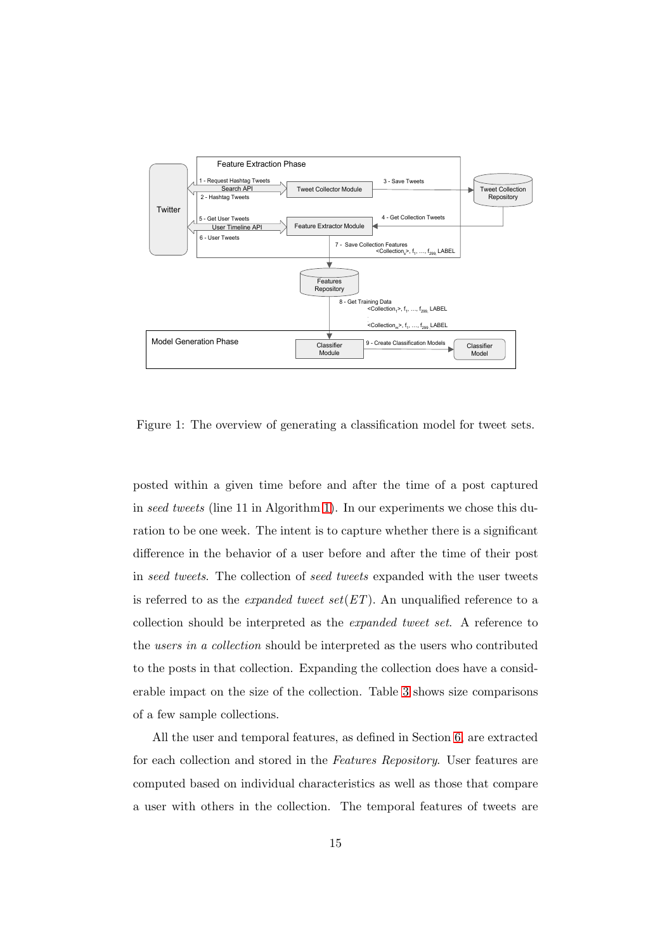

<span id="page-14-0"></span>Figure 1: The overview of generating a classification model for tweet sets.

posted within a given time before and after the time of a post captured in *seed tweets* (line 11 in Algorithm [1\)](#page-13-0). In our experiments we chose this duration to be one week. The intent is to capture whether there is a significant difference in the behavior of a user before and after the time of their post in *seed tweets*. The collection of *seed tweets* expanded with the user tweets is referred to as the *expanded tweet set*(*ET*). An unqualified reference to a collection should be interpreted as the *expanded tweet set*. A reference to the *users in a collection* should be interpreted as the users who contributed to the posts in that collection. Expanding the collection does have a considerable impact on the size of the collection. Table [3](#page-28-0) shows size comparisons of a few sample collections.

All the user and temporal features, as defined in Section [6,](#page-15-0) are extracted for each collection and stored in the *Features Repository*. User features are computed based on individual characteristics as well as those that compare a user with others in the collection. The temporal features of tweets are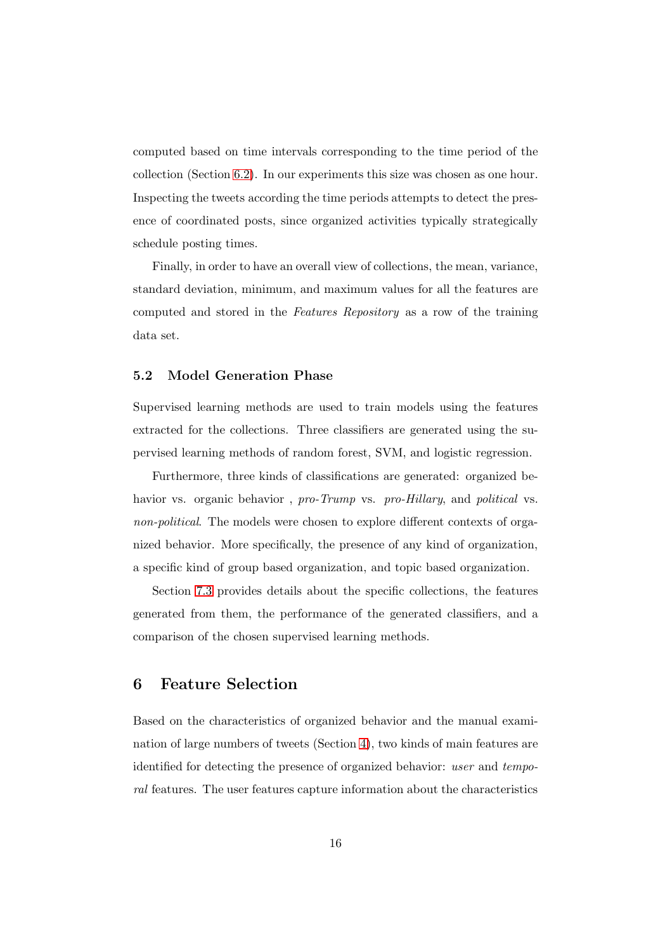computed based on time intervals corresponding to the time period of the collection (Section [6.2\)](#page-20-0). In our experiments this size was chosen as one hour. Inspecting the tweets according the time periods attempts to detect the presence of coordinated posts, since organized activities typically strategically schedule posting times.

Finally, in order to have an overall view of collections, the mean, variance, standard deviation, minimum, and maximum values for all the features are computed and stored in the *Features Repository* as a row of the training data set.

## 5.2 Model Generation Phase

Supervised learning methods are used to train models using the features extracted for the collections. Three classifiers are generated using the supervised learning methods of random forest, SVM, and logistic regression.

Furthermore, three kinds of classifications are generated: organized behavior vs. organic behavior , *pro-Trump* vs. *pro-Hillary*, and *political* vs. *non-political*. The models were chosen to explore different contexts of organized behavior. More specifically, the presence of any kind of organization, a specific kind of group based organization, and topic based organization.

Section [7.3](#page-35-0) provides details about the specific collections, the features generated from them, the performance of the generated classifiers, and a comparison of the chosen supervised learning methods.

## <span id="page-15-0"></span>6 Feature Selection

Based on the characteristics of organized behavior and the manual examination of large numbers of tweets (Section [4\)](#page-9-0), two kinds of main features are identified for detecting the presence of organized behavior: *user* and *temporal* features. The user features capture information about the characteristics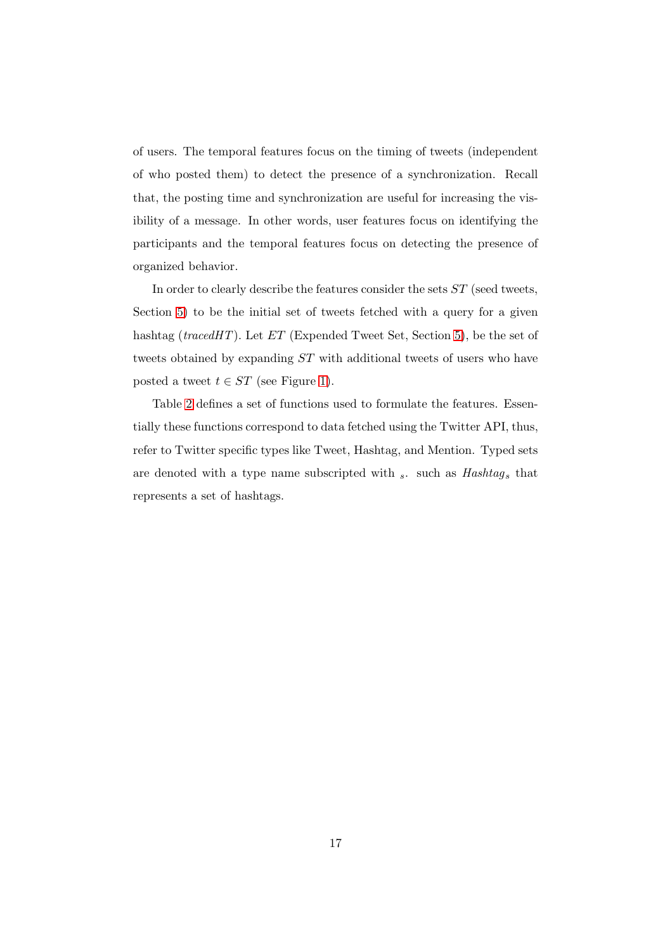of users. The temporal features focus on the timing of tweets (independent of who posted them) to detect the presence of a synchronization. Recall that, the posting time and synchronization are useful for increasing the visibility of a message. In other words, user features focus on identifying the participants and the temporal features focus on detecting the presence of organized behavior.

In order to clearly describe the features consider the sets ST (seed tweets, Section [5\)](#page-12-0) to be the initial set of tweets fetched with a query for a given hashtag (*tracedHT*). Let *ET* (Expended Tweet Set, Section [5\)](#page-12-0), be the set of tweets obtained by expanding ST with additional tweets of users who have posted a tweet  $t \in ST$  (see Figure [1\)](#page-13-0).

Table [2](#page-17-0) defines a set of functions used to formulate the features. Essentially these functions correspond to data fetched using the Twitter API, thus, refer to Twitter specific types like Tweet, Hashtag, and Mention. Typed sets are denoted with a type name subscripted with  $_s$ . such as *Hashtag* s that represents a set of hashtags.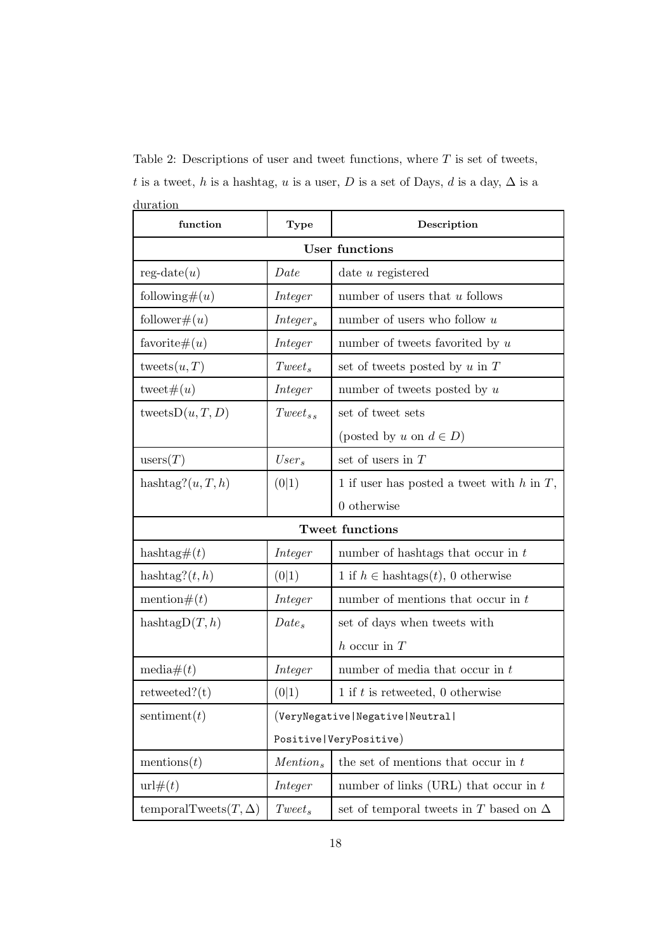| function                     | <b>Type</b>              | Description                                                                                                  |  |  |
|------------------------------|--------------------------|--------------------------------------------------------------------------------------------------------------|--|--|
| <b>User functions</b>        |                          |                                                                                                              |  |  |
| $reg\text{-}date(u)$         | Date                     | date $u$ registered                                                                                          |  |  |
| following# $(u)$             | Integer                  | number of users that $u$ follows                                                                             |  |  |
| $\text{follower}\#(u)$       | Integer <sub>s</sub>     | number of users who follow $u$                                                                               |  |  |
| favorite $\#(u)$             | Integer                  | number of tweets favorited by $u$                                                                            |  |  |
| tweets $(u,T)$               | $Tweet_s$                | set of tweets posted by $u$ in $T$                                                                           |  |  |
| tweet $\#(u)$                | Integer                  | number of tweets posted by $u$                                                                               |  |  |
| tweets $D(u, T, D)$          | $Tweet_{ss}$             | set of tweet sets                                                                                            |  |  |
|                              |                          | (posted by u on $d \in D$ )                                                                                  |  |  |
| users(T)                     | $User_s$                 | set of users in $T$                                                                                          |  |  |
| hashtag? $(u, T, h)$         | (0 1)                    | 1 if user has posted a tweet with $h$ in $T$ ,                                                               |  |  |
|                              |                          | 0 otherwise                                                                                                  |  |  |
|                              |                          | <b>Tweet functions</b>                                                                                       |  |  |
| hashtag# $(t)$               | Integer                  | number of hashtags that occur in $t$                                                                         |  |  |
| hashtag? $(t, h)$            | (0 1)                    | 1 if $h \in$ hashtags $(t)$ , 0 otherwise                                                                    |  |  |
| mention $#(t)$               | Integer                  | number of mentions that occur in $t$                                                                         |  |  |
| hashtag $D(T, h)$            | $Date_s$                 | set of days when tweets with                                                                                 |  |  |
|                              |                          | $h$ occur in $T$                                                                                             |  |  |
| media $\#(t)$                | Integer                  | number of media that occur in $t$                                                                            |  |  |
| $retweeted?$ (t)             | (0 1)                    | 1 if $t$ is retweeted, 0 otherwise                                                                           |  |  |
| sentiment $(t)$              |                          | $\label{thm:main} \begin{array}{ l l } \hline \texttt{(VeryNegative Negative  Neutral )} \hline \end{array}$ |  |  |
|                              | Positive   VeryPositive) |                                                                                                              |  |  |
| mentions $(t)$               | Mention <sub>s</sub>     | the set of mentions that occur in $t$                                                                        |  |  |
| $\text{url#}(t)$             | Integer                  | number of links (URL) that occur in $t$                                                                      |  |  |
| temporalTweets $(T, \Delta)$ | $Tweet_s$                | set of temporal tweets in T based on $\Delta$                                                                |  |  |

<span id="page-17-0"></span>Table 2: Descriptions of user and tweet functions, where  $T$  is set of tweets, t is a tweet, h is a hashtag, u is a user, D is a set of Days, d is a day,  $\Delta$  is a duration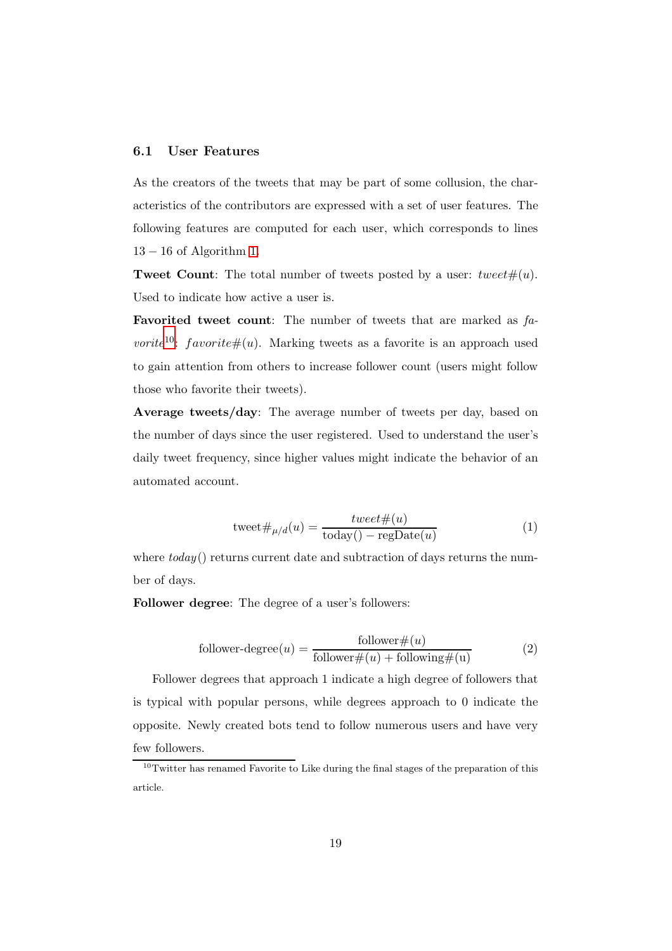#### 6.1 User Features

As the creators of the tweets that may be part of some collusion, the characteristics of the contributors are expressed with a set of user features. The following features are computed for each user, which corresponds to lines  $13 - 16$  of Algorithm [1.](#page-13-0)

**Tweet Count:** The total number of tweets posted by a user:  $tweet\#(u)$ . Used to indicate how active a user is.

Favorited tweet count: The number of tweets that are marked as *favorite*<sup>[10](#page-18-0)</sup>: favorite#(u). Marking tweets as a favorite is an approach used to gain attention from others to increase follower count (users might follow those who favorite their tweets).

Average tweets/day: The average number of tweets per day, based on the number of days since the user registered. Used to understand the user's daily tweet frequency, since higher values might indicate the behavior of an automated account.

$$
tweet \#_{\mu/d}(u) = \frac{tweet \#(u)}{\text{today}() - \text{regDate}(u)}\tag{1}
$$

where  $today()$  returns current date and subtraction of days returns the number of days.

Follower degree: The degree of a user's followers:

<span id="page-18-1"></span>follower-degree
$$
(u)
$$
 =  $\frac{\text{follower} \#(u)}{\text{follower} \#(u) + \text{following} \#(u)}$  (2)

Follower degrees that approach 1 indicate a high degree of followers that is typical with popular persons, while degrees approach to 0 indicate the opposite. Newly created bots tend to follow numerous users and have very few followers.

<span id="page-18-0"></span> $10$ Twitter has renamed Favorite to Like during the final stages of the preparation of this article.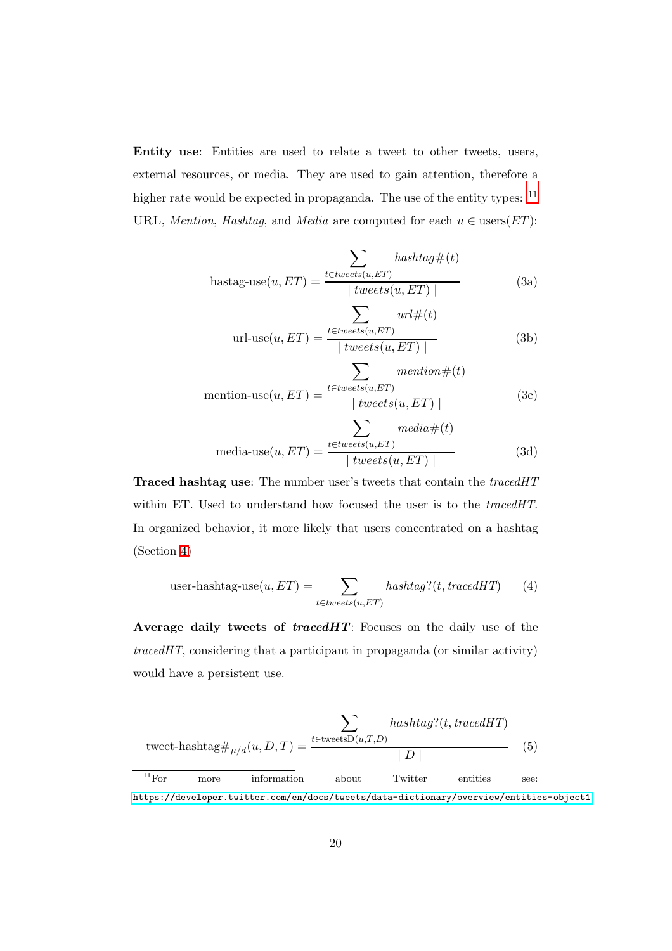<span id="page-19-3"></span>Entity use: Entities are used to relate a tweet to other tweets, users, external resources, or media. They are used to gain attention, therefore a higher rate would be expected in propaganda. The use of the entity types:  $11$ URL, *Mention*, *Hashtag*, and *Media* are computed for each  $u \in \text{users}(ET)$ :

<span id="page-19-5"></span>
$$
\sum_{\text{hastag-use}(u, ET)} \text{hastag#}(t)
$$
\n
$$
\text{hastag-use}(u, ET) = \frac{\sum_{t \in tweets(u, ET)} \text{hastag#}(t)}{|\text{tweets}(u, ET)|} \tag{3a}
$$

<span id="page-19-7"></span>
$$
\text{url-use}(u, ET) = \frac{\sum_{t \in tweets(u, ET)} unl \#(t)}{|tweets(u, ET)|}
$$
(3b)

<span id="page-19-6"></span>
$$
\sum_{\text{ mention-use}(u, ET)} \frac{\text{mentioned}(u, ET)}{\mid tweets(u, ET) \mid}\n \tag{3c}
$$

<span id="page-19-4"></span>
$$
\text{media-use}(u, ET) = \frac{\sum_{t \in tweets(u, ET)} media \#(t)}{|tweets(u, ET)|}
$$
(3d)

Traced hashtag use: The number user's tweets that contain the *tracedHT* within ET. Used to understand how focused the user is to the *tracedHT*. In organized behavior, it more likely that users concentrated on a hashtag (Section [4\)](#page-9-0)

<span id="page-19-1"></span>user-hashtag-use
$$
(u, ET) = \sum_{t \in tweets(u, ET)} hashtag?(t, tracedHT)
$$
 (4)

Average daily tweets of tracedHT: Focuses on the daily use of the *tracedHT*, considering that a participant in propaganda (or similar activity) would have a persistent use.

<span id="page-19-2"></span>
$$
\sum_{\text{tweet-hashtag#}\mu/d}(u, D, T) = \frac{\sum_{t \in \text{tweetsD}(u, T, D)} \text{hashtag?}(t, \text{tracedHT})}{|D|}
$$
(5)  
<sup>11</sup>For more information about Twitter entities see:

<span id="page-19-0"></span><https://developer.twitter.com/en/docs/tweets/data-dictionary/overview/entities-object1>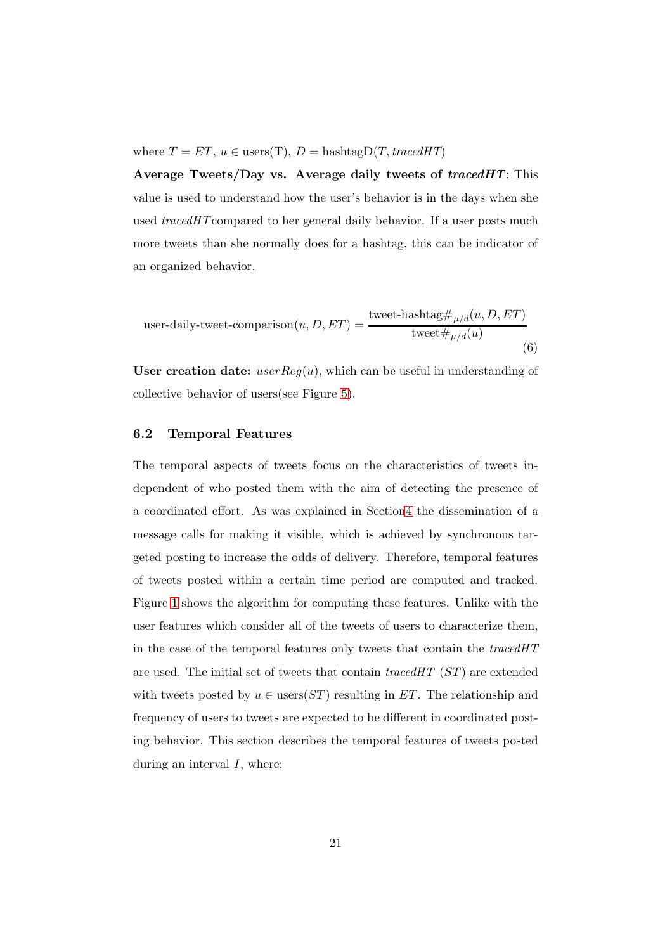where  $T = ET$ ,  $u \in \text{users}(T)$ ,  $D = \text{hashtag}D(T, \text{tracedHT})$ 

Average Tweets/Day vs. Average daily tweets of  $trace dHT$ : This value is used to understand how the user's behavior is in the days when she used *tracedHT*compared to her general daily behavior. If a user posts much more tweets than she normally does for a hashtag, this can be indicator of an organized behavior.

<span id="page-20-1"></span>user-daily-tweet-comparison
$$
(u, D, ET) = \frac{\text{tweet-hashtag#}_{\mu/d}(u, D, ET)}{\text{tweet#}_{\mu/d}(u)}
$$
 (6)

User creation date:  $userReg(u)$ , which can be useful in understanding of collective behavior of users(see Figure [5\)](#page-31-0).

## <span id="page-20-0"></span>6.2 Temporal Features

The temporal aspects of tweets focus on the characteristics of tweets independent of who posted them with the aim of detecting the presence of a coordinated effort. As was explained in Sectio[n4](#page-9-0) the dissemination of a message calls for making it visible, which is achieved by synchronous targeted posting to increase the odds of delivery. Therefore, temporal features of tweets posted within a certain time period are computed and tracked. Figure [1](#page-13-0) shows the algorithm for computing these features. Unlike with the user features which consider all of the tweets of users to characterize them, in the case of the temporal features only tweets that contain the *tracedHT* are used. The initial set of tweets that contain *tracedHT* (ST) are extended with tweets posted by  $u \in \text{users}(ST)$  resulting in ET. The relationship and frequency of users to tweets are expected to be different in coordinated posting behavior. This section describes the temporal features of tweets posted during an interval  $I$ , where: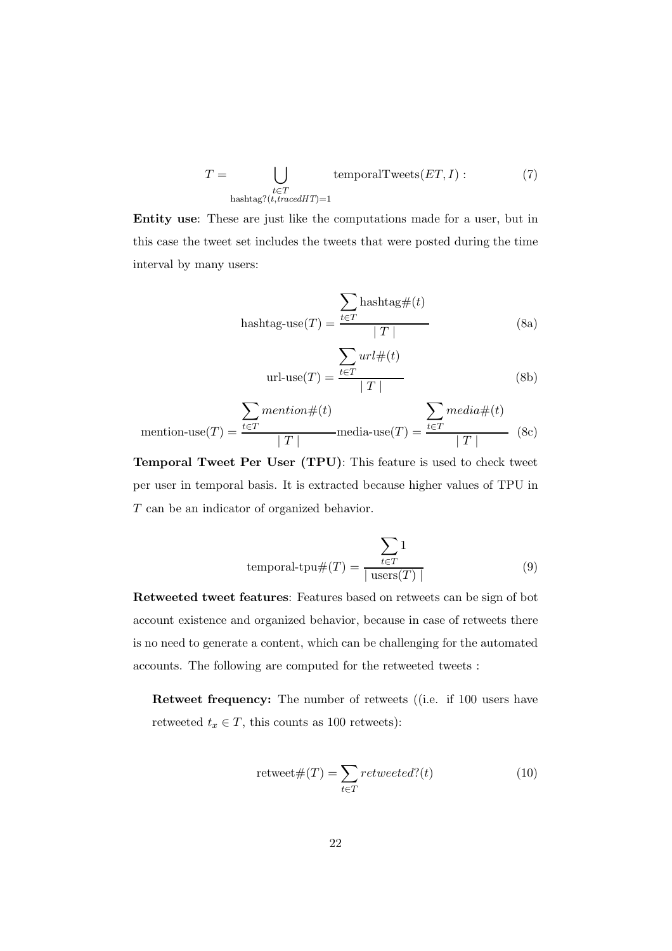$$
T = \bigcup_{\substack{t \in T \\ \text{hashtag?}(t, trace dHT) = 1}} \text{temporalTwects}(ET, I) : \tag{7}
$$

<span id="page-21-0"></span>Entity use: These are just like the computations made for a user, but in this case the tweet set includes the tweets that were posted during the time interval by many users:

$$
has that \text{ag-use}(T) = \frac{\sum_{t \in T} has that \text{ag#}(t)}{|T|}
$$
 (8a)

$$
url\text{-use}(T) = \frac{\sum_{t \in T} url \#(t)}{|T|}
$$
 (8b)

$$
\text{ mention-use}(T) = \frac{\sum\limits_{t \in T} \text{mentioned}(t)}{|T|} \text{media-use}(T) = \frac{\sum\limits_{t \in T} \text{media} \#(t)}{|T|} \quad (8c)
$$

Temporal Tweet Per User (TPU): This feature is used to check tweet per user in temporal basis. It is extracted because higher values of TPU in T can be an indicator of organized behavior.

temporal-tpu#(T) = 
$$
\frac{\sum_{t \in T} 1}{|\text{users}(T)|}
$$
(9)

Retweeted tweet features: Features based on retweets can be sign of bot account existence and organized behavior, because in case of retweets there is no need to generate a content, which can be challenging for the automated accounts. The following are computed for the retweeted tweets :

Retweet frequency: The number of retweets ((i.e. if 100 users have retweeted  $t_x \in T$ , this counts as 100 retweets):

$$
retweet \#(T) = \sum_{t \in T} retweeted?(t)
$$
 (10)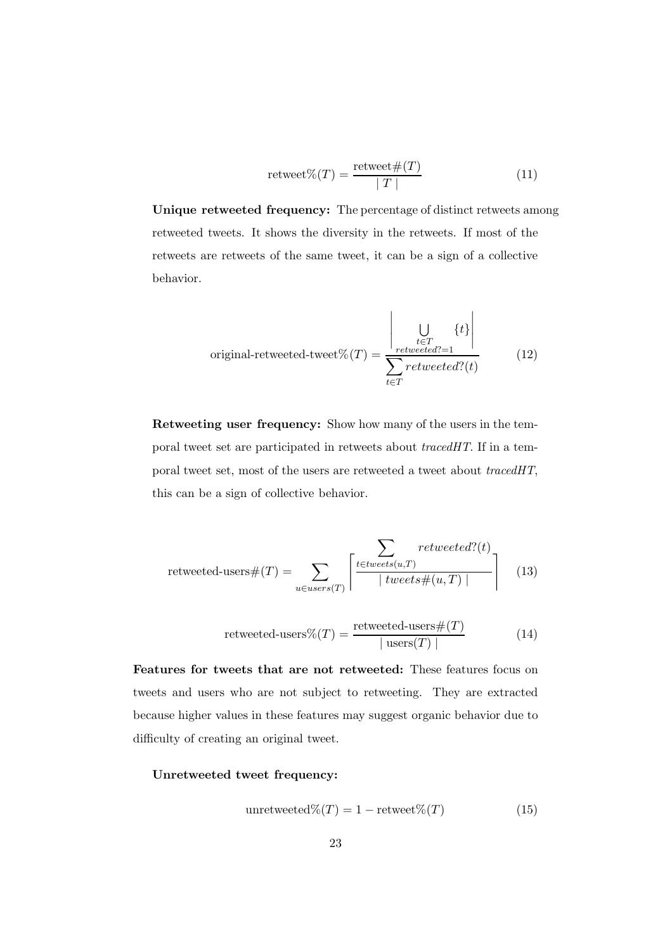$$
retweet\%(T) = \frac{retweet\#(T)}{|T|}
$$
\n(11)

Unique retweeted frequency: The percentage of distinct retweets among retweeted tweets. It shows the diversity in the retweets. If most of the retweets are retweets of the same tweet, it can be a sign of a collective behavior.

original-retweeted-tweet% 
$$
(T)
$$
 = 
$$
\frac{\left|\bigcup_{\substack{t \in T \\ \text{retweted}^?=1}} \{t\}\right|}{\sum_{t \in T} \text{retweted}^? (t)}
$$
(12)

Retweeting user frequency: Show how many of the users in the temporal tweet set are participated in retweets about *tracedHT*. If in a temporal tweet set, most of the users are retweeted a tweet about *tracedHT*, this can be a sign of collective behavior.

$$
retweeted\text{-}users \#(T) = \sum_{u \in users(T)} \left\lceil \frac{\sum_{t \in tweets(u,T)} retweeted?(t)}{\mid tweets \#(u,T) \mid} \right\rceil \tag{13}
$$

$$
retweeted\text{-}users\% (T) = \frac{retweeted\text{-}users\#(T)}{|\text{users}(T)|}
$$
(14)

Features for tweets that are not retweeted: These features focus on tweets and users who are not subject to retweeting. They are extracted because higher values in these features may suggest organic behavior due to difficulty of creating an original tweet.

## Unretweeted tweet frequency:

unretweeted
$$
\mathcal{K}(T) = 1 - \text{retweet}\mathcal{K}(T)
$$
 (15)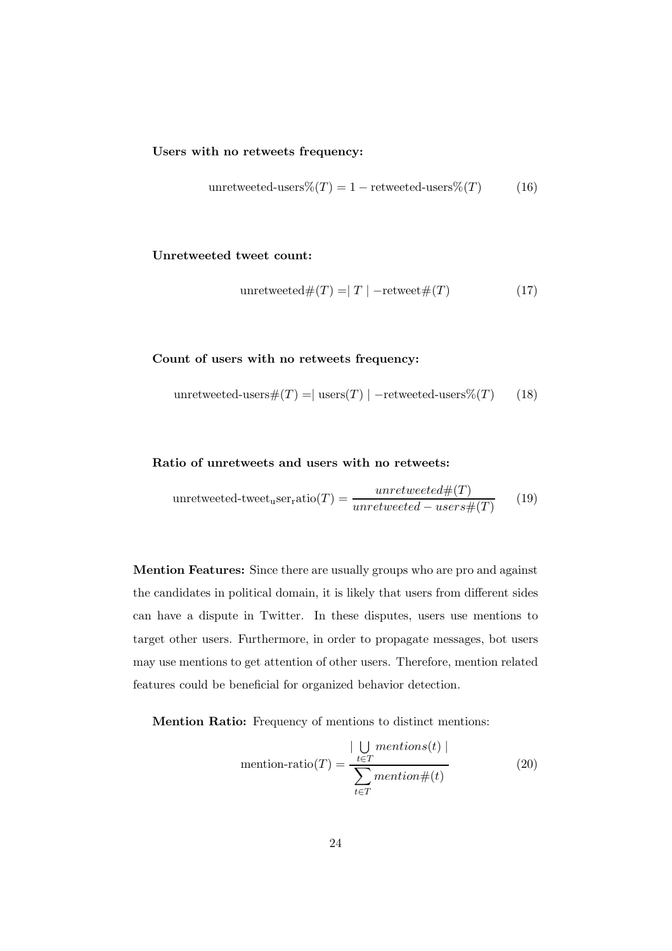#### Users with no retweets frequency:

unretweeted-users%
$$
(T) = 1
$$
 – retweeted-users% $(T)$  (16)

Unretweeted tweet count:

<span id="page-23-0"></span>unretweeted
$$
\#(T) = |T|
$$
 -retweet $\#(T)$  (17)

Count of users with no retweets frequency:

<span id="page-23-1"></span>unretweeted-users#(
$$
T
$$
) = | users( $T$ ) | -retweeted-users%( $T$ ) (18)

## Ratio of unretweets and users with no retweets:

unretweeted-tweet<sub>u</sub>ser<sub>r</sub>atio(T) = 
$$
\frac{unretweeted \#(T)}{unretweeted - users \#(T)}
$$
(19)

Mention Features: Since there are usually groups who are pro and against the candidates in political domain, it is likely that users from different sides can have a dispute in Twitter. In these disputes, users use mentions to target other users. Furthermore, in order to propagate messages, bot users may use mentions to get attention of other users. Therefore, mention related features could be beneficial for organized behavior detection.

Mention Ratio: Frequency of mentions to distinct mentions:

$$
\text{ mention-ratio}(T) = \frac{\left| \bigcup_{t \in T} \text{ mentions}(t) \right|}{\sum_{t \in T} \text{mentioned}} \tag{20}
$$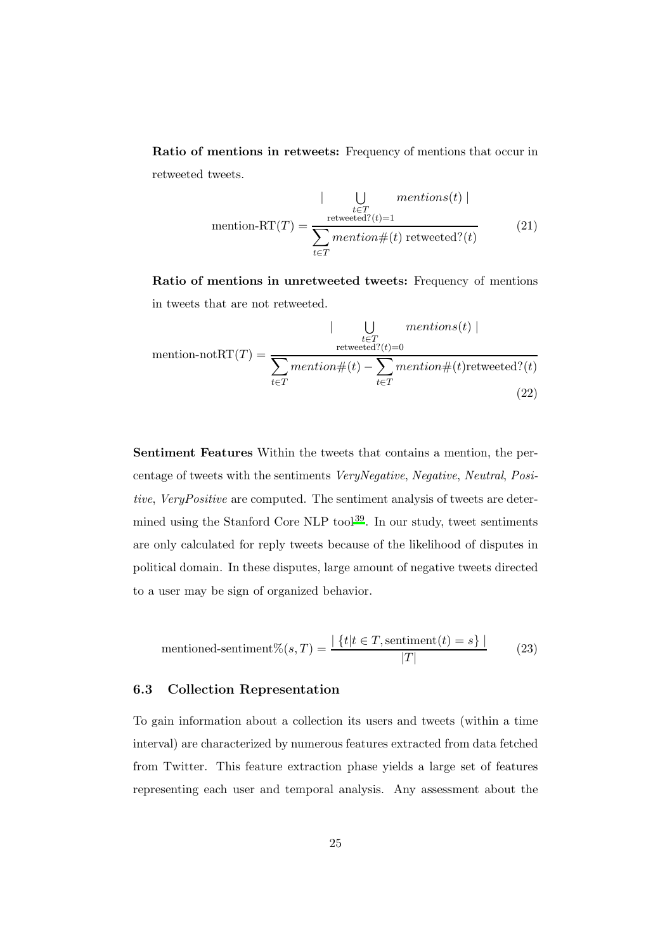Ratio of mentions in retweets: Frequency of mentions that occur in retweeted tweets.

$$
\text{ mention-RT}(T) = \frac{\bigcup_{t \in T} \text{ mentions}(t) \mid}{\sum_{t \in T} \text{mentioned}^2(t) = 1} \tag{21}
$$

Ratio of mentions in unretweeted tweets: Frequency of mentions in tweets that are not retweeted.

$$
\text{H}_{t=T} = \frac{|\bigcup_{t \in T} \text{mentions}(t)|}{\sum_{t \in T} \text{mention} \#(t) - \sum_{t \in T} \text{mention} \#(t) \text{retweeted?}(t)}
$$
\n
$$
(22)
$$

Sentiment Features Within the tweets that contains a mention, the percentage of tweets with the sentiments *VeryNegative*, *Negative*, *Neutral*, *Positive*, *VeryPositive* are computed. The sentiment analysis of tweets are determined using the Stanford Core  $NLP$  tool<sup>[39](#page-49-1)</sup>. In our study, tweet sentiments are only calculated for reply tweets because of the likelihood of disputes in political domain. In these disputes, large amount of negative tweets directed to a user may be sign of organized behavior.

$$
mentioned-sentiment\% (s,T) = \frac{|\{t | t \in T, \text{sentiment}(t) = s\}|}{|T|}
$$
 (23)

## <span id="page-24-0"></span>6.3 Collection Representation

To gain information about a collection its users and tweets (within a time interval) are characterized by numerous features extracted from data fetched from Twitter. This feature extraction phase yields a large set of features representing each user and temporal analysis. Any assessment about the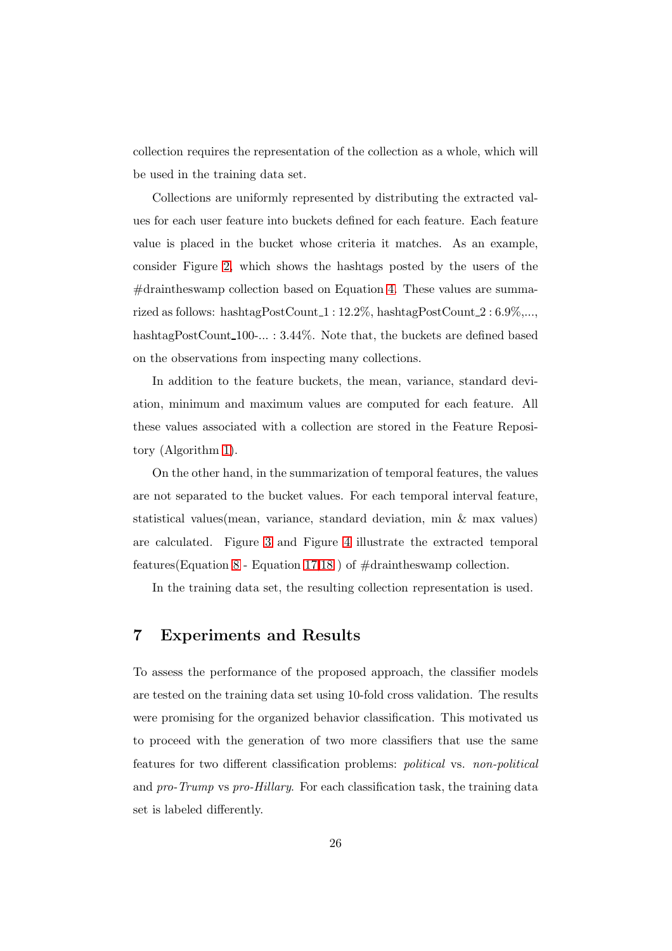collection requires the representation of the collection as a whole, which will be used in the training data set.

Collections are uniformly represented by distributing the extracted values for each user feature into buckets defined for each feature. Each feature value is placed in the bucket whose criteria it matches. As an example, consider Figure [2,](#page-26-0) which shows the hashtags posted by the users of the  $\#$ draintheswamp collection based on Equation [4.](#page-19-1) These values are summarized as follows: hashtagPostCount 1 : 12.2%, hashtagPostCount 2 : 6.9%,..., hashtagPostCount<sub>100</sub>-... : 3.44%. Note that, the buckets are defined based on the observations from inspecting many collections.

In addition to the feature buckets, the mean, variance, standard deviation, minimum and maximum values are computed for each feature. All these values associated with a collection are stored in the Feature Repository (Algorithm [1\)](#page-13-0).

On the other hand, in the summarization of temporal features, the values are not separated to the bucket values. For each temporal interval feature, statistical values(mean, variance, standard deviation, min & max values) are calculated. Figure [3](#page-26-1) and Figure [4](#page-27-0) illustrate the extracted temporal features (Equation [8](#page-21-0) - Equation [17,](#page-23-0)[18](#page-23-1) ) of  $\#$ draintheswamp collection.

<span id="page-25-0"></span>In the training data set, the resulting collection representation is used.

## 7 Experiments and Results

To assess the performance of the proposed approach, the classifier models are tested on the training data set using 10-fold cross validation. The results were promising for the organized behavior classification. This motivated us to proceed with the generation of two more classifiers that use the same features for two different classification problems: *political* vs. *non-political* and *pro-Trump* vs *pro-Hillary*. For each classification task, the training data set is labeled differently.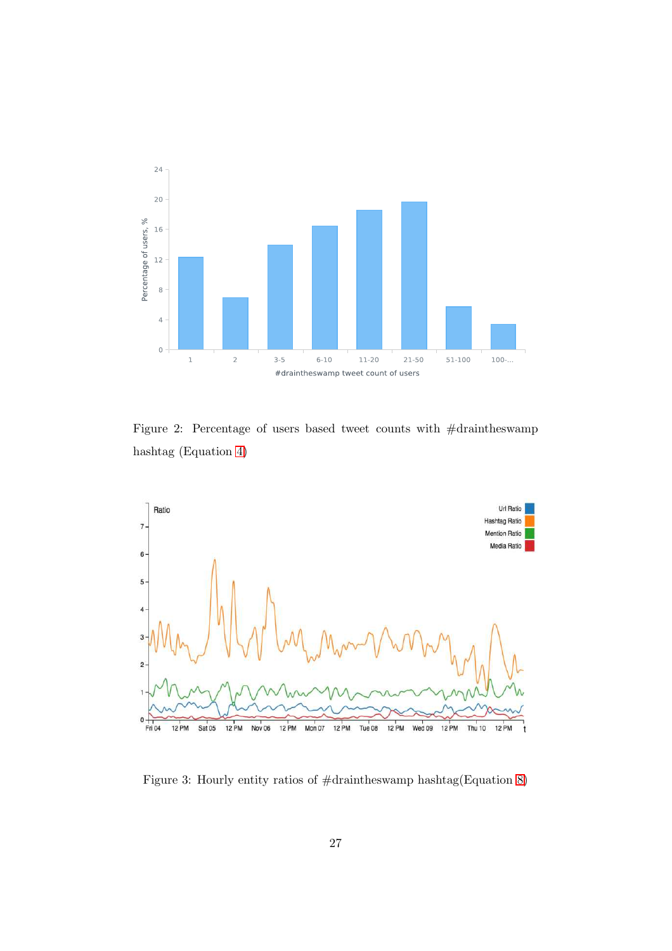

<span id="page-26-0"></span>Figure 2: Percentage of users based tweet counts with #draintheswamp hashtag (Equation [4\)](#page-19-1)



<span id="page-26-1"></span>Figure 3: Hourly entity ratios of #draintheswamp hashtag(Equation [8\)](#page-21-0)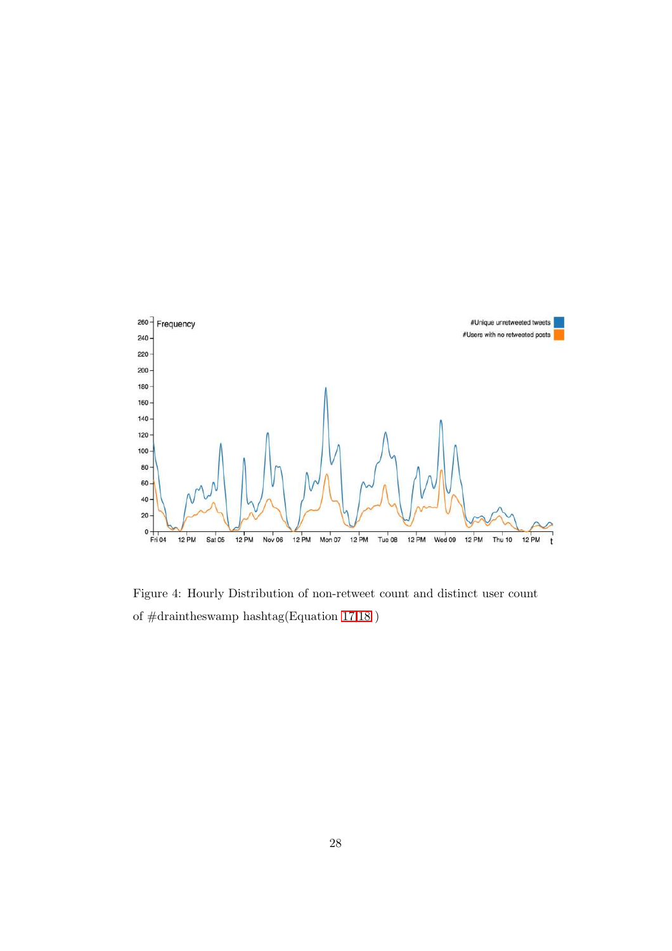

<span id="page-27-0"></span>Figure 4: Hourly Distribution of non-retweet count and distinct user count of  $\# \rm{draintheswamp}$  hashtag(Equation [17](#page-23-0)[,18](#page-23-1) )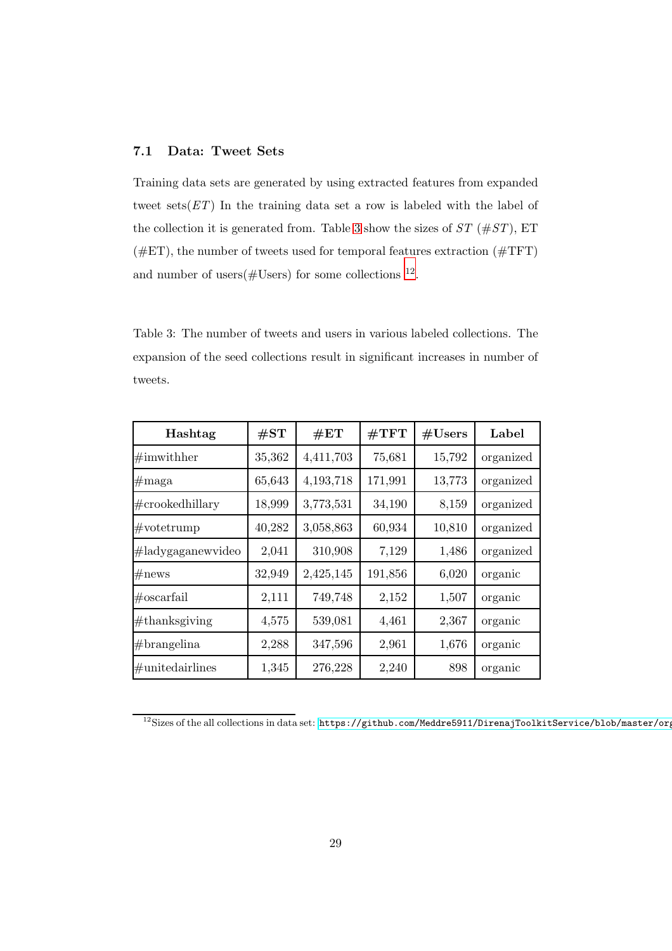## 7.1 Data: Tweet Sets

Training data sets are generated by using extracted features from expanded tweet sets(*ET*) In the training data set a row is labeled with the label of the collection it is generated from. Table [3](#page-28-0) show the sizes of *ST* (#*ST*), ET  $(\#ET)$ , the number of tweets used for temporal features extraction  $(\#TFT)$ and number of users  $(\text{\#Users})$  for some collections  $^{12}$  $^{12}$  $^{12}$ .

<span id="page-28-0"></span>Table 3: The number of tweets and users in various labeled collections. The expansion of the seed collections result in significant increases in number of tweets.

| Hashtag              | $\#\mathrm{ST}$ | $\#\mathrm{ET}$ | $\#\mathrm{TFT}$ | #Users | Label     |
|----------------------|-----------------|-----------------|------------------|--------|-----------|
| $\#\text{imwithher}$ | 35,362          | 4,411,703       | 75,681           | 15,792 | organized |
| $\#\text{maga}$      | 65,643          | 4, 193, 718     | 171,991          | 13,773 | organized |
| $\#$ crookedhillary  | 18,999          | 3,773,531       | 34,190           | 8,159  | organized |
| $\#\text{votetrump}$ | 40,282          | 3,058,863       | 60,934           | 10,810 | organized |
| #ladygaganewvideo    | 2,041           | 310,908         | 7,129            | 1,486  | organized |
| $\#\text{news}$      | 32,949          | 2,425,145       | 191,856          | 6,020  | organic   |
| $\#$ oscarfail       | 2,111           | 749,748         | 2,152            | 1,507  | organic   |
| $\#$ thanksgiving    | 4,575           | 539,081         | 4,461            | 2,367  | organic   |
| $#$ brangelina       | 2,288           | 347,596         | 2,961            | 1,676  | organic   |
| $\#$ unitedairlines  | 1,345           | 276,228         | 2,240            | 898    | organic   |

<span id="page-28-1"></span> $12$ Sizes of the all collections in data set: https://github.com/Meddre5911/DirenajToolkitService/blob/master/org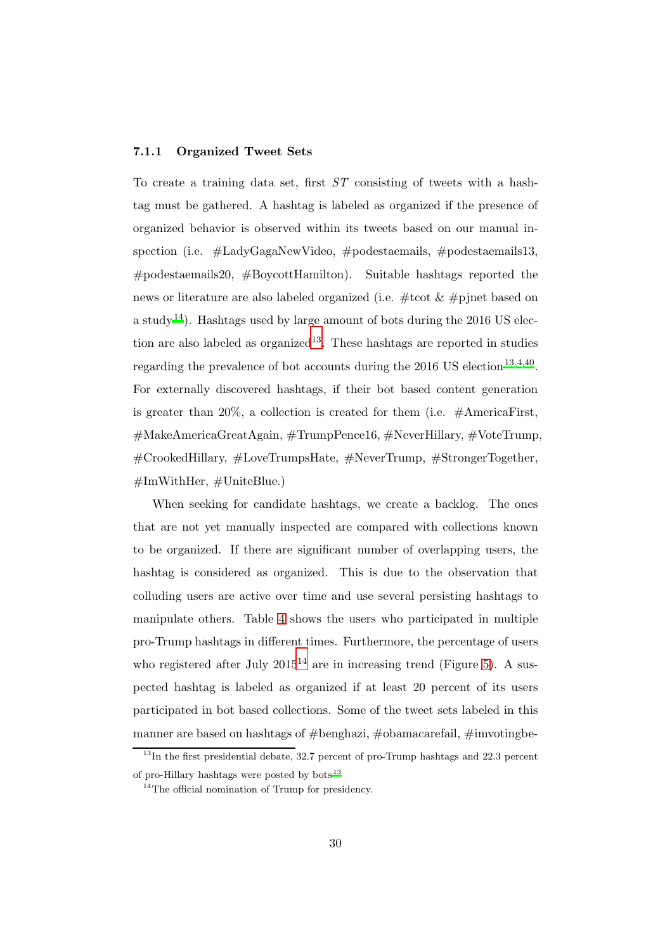#### 7.1.1 Organized Tweet Sets

To create a training data set, first *ST* consisting of tweets with a hashtag must be gathered. A hashtag is labeled as organized if the presence of organized behavior is observed within its tweets based on our manual inspection (i.e. #LadyGagaNewVideo, #podestaemails, #podestaemails13, #podestaemails20, #BoycottHamilton). Suitable hashtags reported the news or literature are also labeled organized (i.e. #tcot & #pjnet based on a study<sup>[14](#page-46-3)</sup>). Hashtags used by large amount of bots during the 2016 US election are also labeled as  $organized<sup>13</sup>$  $organized<sup>13</sup>$  $organized<sup>13</sup>$ . These hashtags are reported in studies regarding the prevalence of bot accounts during the  $2016$  US election<sup>[13](#page-46-2)[,4](#page-45-3)[,40](#page-49-2)</sup>. For externally discovered hashtags, if their bot based content generation is greater than 20%, a collection is created for them (i.e.  $\#\text{AmericaFirst},$ #MakeAmericaGreatAgain, #TrumpPence16, #NeverHillary, #VoteTrump, #CrookedHillary, #LoveTrumpsHate, #NeverTrump, #StrongerTogether,  $\#\text{ImWithHer}, \#\text{UnitedBlue}$ .)

When seeking for candidate hashtags, we create a backlog. The ones that are not yet manually inspected are compared with collections known to be organized. If there are significant number of overlapping users, the hashtag is considered as organized. This is due to the observation that colluding users are active over time and use several persisting hashtags to manipulate others. Table [4](#page-30-0) shows the users who participated in multiple pro-Trump hashtags in different times. Furthermore, the percentage of users who registered after July  $2015^{14}$  $2015^{14}$  $2015^{14}$  are in increasing trend (Figure [5\)](#page-31-0). A suspected hashtag is labeled as organized if at least 20 percent of its users participated in bot based collections. Some of the tweet sets labeled in this manner are based on hashtags of #benghazi, #obamacarefail, #imvotingbe-

<span id="page-29-0"></span> $13$ In the first presidential debate, 32.7 percent of pro-Trump hashtags and 22.3 percent of pro-Hillary hashtags were posted by bots <sup>13</sup>

<span id="page-29-1"></span><sup>&</sup>lt;sup>14</sup>The official nomination of Trump for presidency.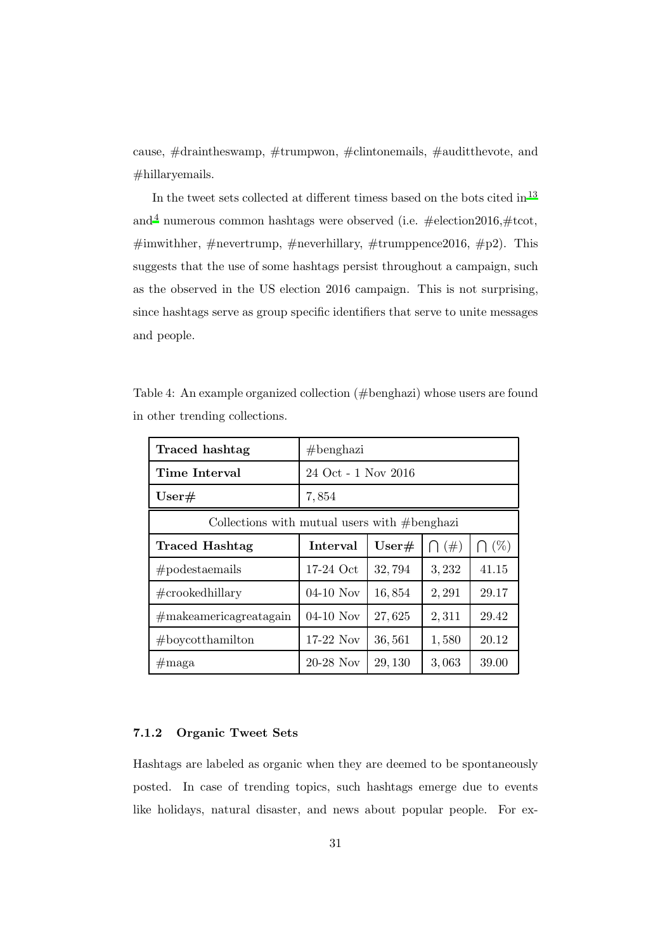cause, #draintheswamp, #trumpwon, #clintonemails, #auditthevote, and #hillaryemails.

In the tweet sets collected at different timess based on the bots cited in  $^{13}$  $^{13}$  $^{13}$ and<sup>[4](#page-45-3)</sup> numerous common hashtags were observed (i.e.  $\#$ election2016, $\#$ tcot, #imwithher, #nevertrump, #neverhillary, #trumppence 2016, #p2). This suggests that the use of some hashtags persist throughout a campaign, such as the observed in the US election 2016 campaign. This is not surprising, since hashtags serve as group specific identifiers that serve to unite messages and people.

| Traced hashtag                                   | $#$ benghazi                                                         |                     |        |       |  |  |
|--------------------------------------------------|----------------------------------------------------------------------|---------------------|--------|-------|--|--|
| Time Interval                                    |                                                                      | 24 Oct - 1 Nov 2016 |        |       |  |  |
| User#                                            | 7,854                                                                |                     |        |       |  |  |
| Collections with mutual users with $\#$ benghazi |                                                                      |                     |        |       |  |  |
| Traced Hashtag                                   | $\bigcap (\% )$<br>Interval<br>$\bigcap$ $(\#)$<br>$\mathrm{User}\#$ |                     |        |       |  |  |
| #podes <sup>trans</sup>                          | $17-24$ Oct                                                          | 32,794              | 3,232  | 41.15 |  |  |
| $\#\text{crookedhillary}$                        | $04-10$ Nov                                                          | 16,854              | 2, 291 | 29.17 |  |  |
| #makeamericagreatagain                           | $04-10$ Nov                                                          | 27,625              | 2,311  | 29.42 |  |  |
| $#$ boycotthamilton                              | $17-22$ Nov                                                          | 36,561              | 1,580  | 20.12 |  |  |
| $\#\text{maga}$                                  | $20-28$ Nov                                                          | 29, 130             | 3,063  | 39.00 |  |  |

<span id="page-30-0"></span>Table 4: An example organized collection (#benghazi) whose users are found in other trending collections.

## 7.1.2 Organic Tweet Sets

Hashtags are labeled as organic when they are deemed to be spontaneously posted. In case of trending topics, such hashtags emerge due to events like holidays, natural disaster, and news about popular people. For ex-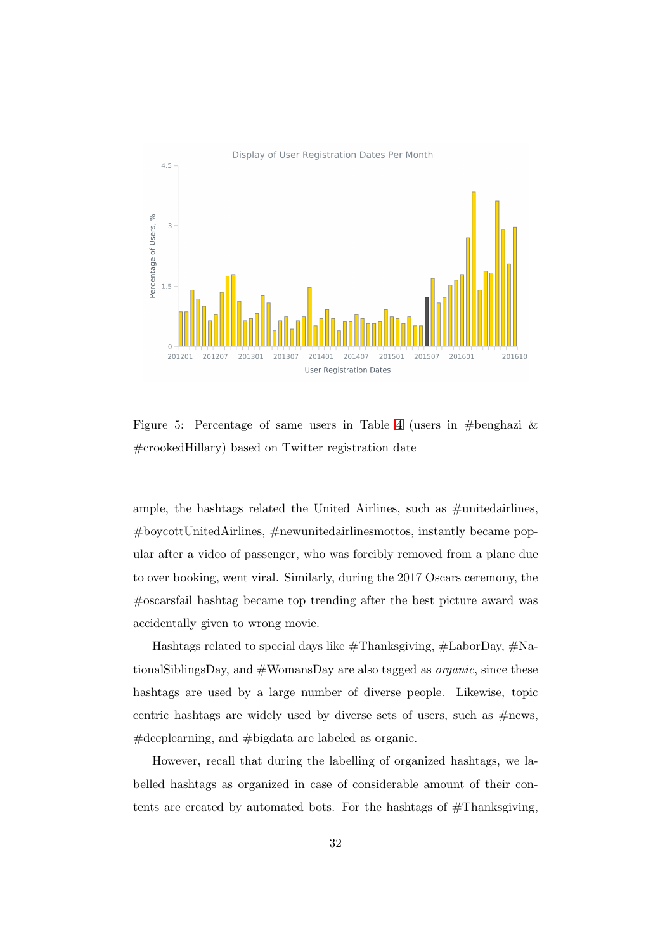

<span id="page-31-0"></span>Figure 5: Percentage of same users in Table [4](#page-30-0) (users in #benghazi  $\&$ #crookedHillary) based on Twitter registration date

ample, the hashtags related the United Airlines, such as #unitedairlines, #boycottUnitedAirlines, #newunitedairlinesmottos, instantly became popular after a video of passenger, who was forcibly removed from a plane due to over booking, went viral. Similarly, during the 2017 Oscars ceremony, the #oscarsfail hashtag became top trending after the best picture award was accidentally given to wrong movie.

Hashtags related to special days like #Thanksgiving, #LaborDay, #NationalSiblingsDay, and #WomansDay are also tagged as *organic*, since these hashtags are used by a large number of diverse people. Likewise, topic centric hashtags are widely used by diverse sets of users, such as  $\#news$ , #deeplearning, and #bigdata are labeled as organic.

However, recall that during the labelling of organized hashtags, we labelled hashtags as organized in case of considerable amount of their contents are created by automated bots. For the hashtags of  $#Thanks$ giving,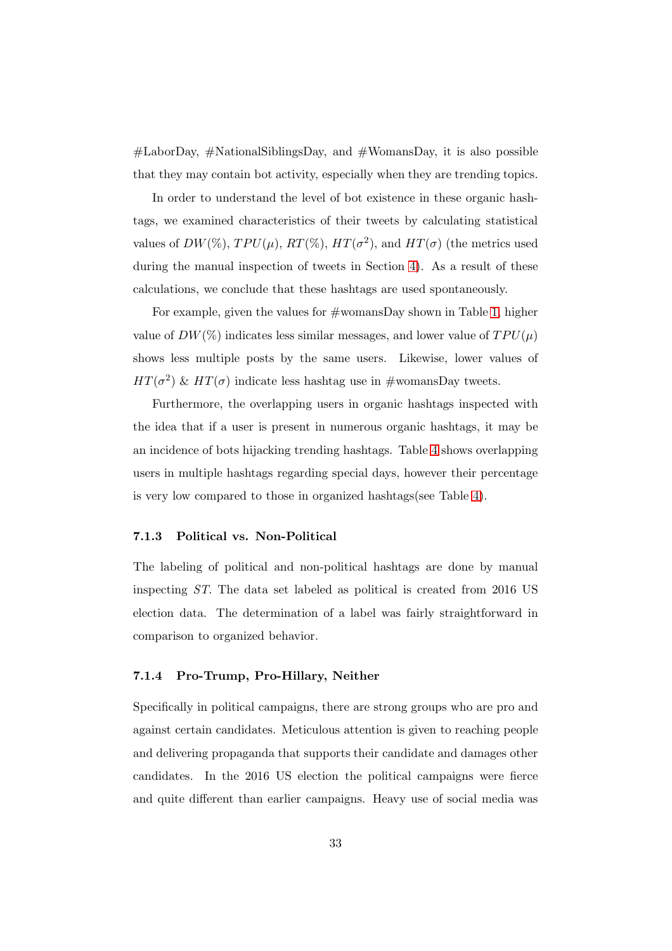$\#$ LaborDay,  $\#$ NationalSiblingsDay, and  $\#$ WomansDay, it is also possible that they may contain bot activity, especially when they are trending topics.

In order to understand the level of bot existence in these organic hashtags, we examined characteristics of their tweets by calculating statistical values of  $DW(\%), TPU(\mu), RT(\%), HT(\sigma^2),$  and  $HT(\sigma)$  (the metrics used during the manual inspection of tweets in Section [4\)](#page-9-0). As a result of these calculations, we conclude that these hashtags are used spontaneously.

For example, given the values for #womansDay shown in Table [1,](#page-11-0) higher value of  $DW(\%)$  indicates less similar messages, and lower value of  $TPU(\mu)$ shows less multiple posts by the same users. Likewise, lower values of  $HT(\sigma^2)$  &  $HT(\sigma)$  indicate less hashtag use in #womansDay tweets.

Furthermore, the overlapping users in organic hashtags inspected with the idea that if a user is present in numerous organic hashtags, it may be an incidence of bots hijacking trending hashtags. Table [4](#page-30-0) shows overlapping users in multiple hashtags regarding special days, however their percentage is very low compared to those in organized hashtags(see Table [4\)](#page-30-0).

#### 7.1.3 Political vs. Non-Political

The labeling of political and non-political hashtags are done by manual inspecting *ST*. The data set labeled as political is created from 2016 US election data. The determination of a label was fairly straightforward in comparison to organized behavior.

#### 7.1.4 Pro-Trump, Pro-Hillary, Neither

Specifically in political campaigns, there are strong groups who are pro and against certain candidates. Meticulous attention is given to reaching people and delivering propaganda that supports their candidate and damages other candidates. In the 2016 US election the political campaigns were fierce and quite different than earlier campaigns. Heavy use of social media was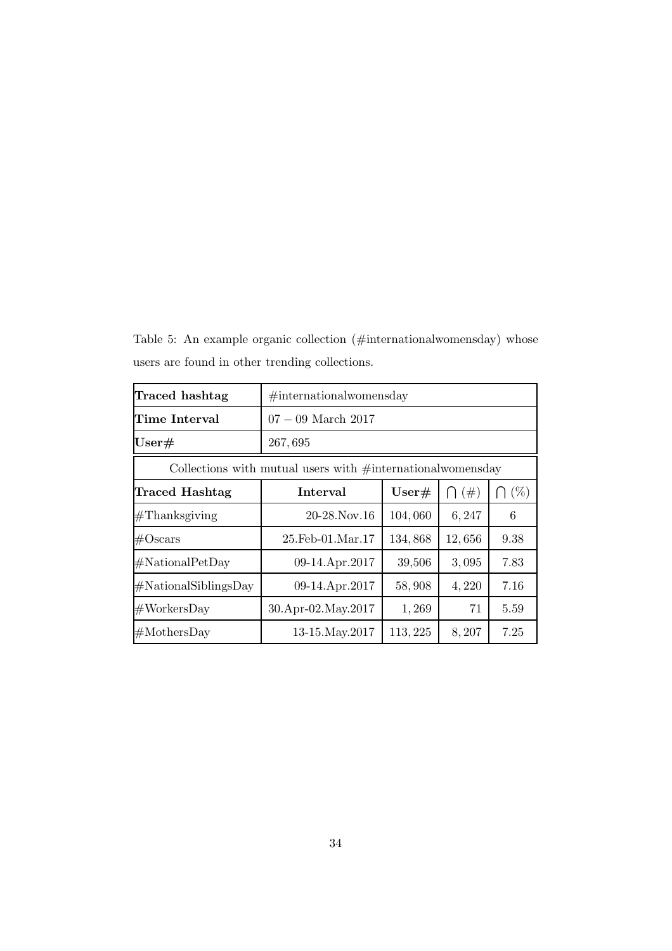<span id="page-33-0"></span>Table 5: An example organic collection (#internationalwomensday) whose users are found in other trending collections.

| Traced hashtag                                                  | $\#$ internationalwomensday                               |          |        |      |  |  |
|-----------------------------------------------------------------|-----------------------------------------------------------|----------|--------|------|--|--|
| Time Interval                                                   | $07 - 09$ March 2017                                      |          |        |      |  |  |
| $\mathrm{User}\#$                                               | 267,695                                                   |          |        |      |  |  |
| Collections with mutual users with $\#$ international womensday |                                                           |          |        |      |  |  |
| Traced Hashtag                                                  | $\bigcap$ $(\%)$<br>Interval<br>User#<br>$\bigcap$ $(\#)$ |          |        |      |  |  |
| $#Thanks$ giving                                                | $20-28$ . Nov. 16                                         | 104,060  | 6,247  | 6    |  |  |
| $\#\text{Oscars}$                                               | $25.Feb-01.Mar.17$                                        | 134,868  | 12,656 | 9.38 |  |  |
| #NationalPetDay                                                 | 09-14.Apr.2017                                            | 39,506   | 3,095  | 7.83 |  |  |
| #NationalSiblingSDay                                            | 09-14.Apr.2017                                            | 58,908   | 4,220  | 7.16 |  |  |
| #WorksDay                                                       | 30.Apr-02.May.2017                                        | 1,269    | 71     | 5.59 |  |  |
| $# \text{MothersDay}$                                           | 13-15. May . 2017                                         | 113, 225 | 8,207  | 7.25 |  |  |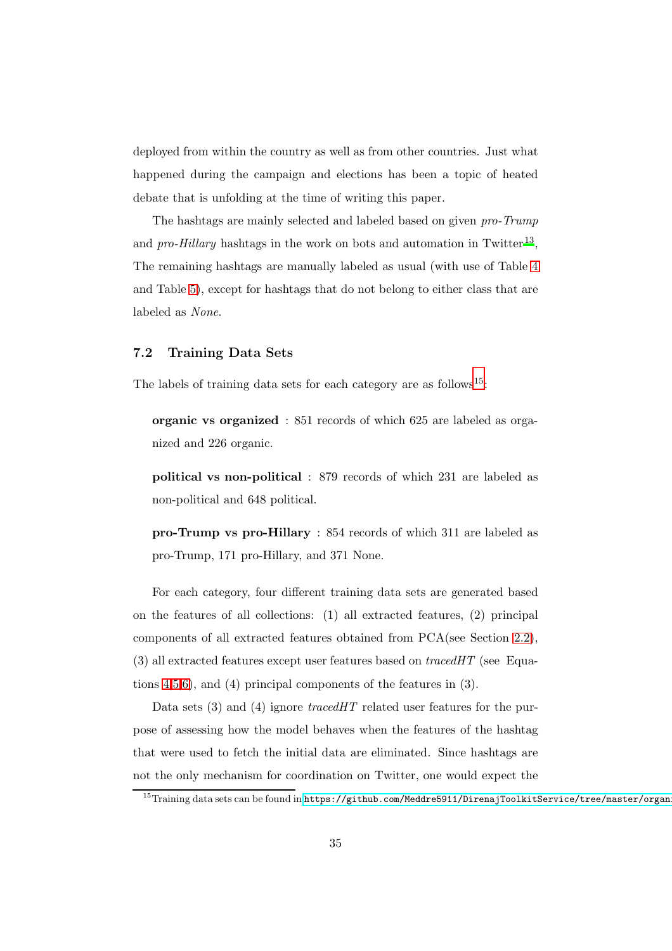deployed from within the country as well as from other countries. Just what happened during the campaign and elections has been a topic of heated debate that is unfolding at the time of writing this paper.

The hashtags are mainly selected and labeled based on given *pro-Trump* and *pro-Hillary* hashtags in the work on bots and automation in Twitter<sup>[13](#page-46-2)</sup>, The remaining hashtags are manually labeled as usual (with use of Table [4](#page-30-0) and Table [5\)](#page-33-0), except for hashtags that do not belong to either class that are labeled as *None*.

## <span id="page-34-1"></span>7.2 Training Data Sets

The labels of training data sets for each category are as follows<sup>[15](#page-34-0)</sup>:

organic vs organized : 851 records of which 625 are labeled as organized and 226 organic.

political vs non-political : 879 records of which 231 are labeled as non-political and 648 political.

pro-Trump vs pro-Hillary : 854 records of which 311 are labeled as pro-Trump, 171 pro-Hillary, and 371 None.

For each category, four different training data sets are generated based on the features of all collections: (1) all extracted features, (2) principal components of all extracted features obtained from PCA(see Section [2.2\)](#page-5-2), (3) all extracted features except user features based on *tracedHT* (see Equations [4](#page-19-1)[,5,](#page-19-2)[6\)](#page-20-1), and (4) principal components of the features in (3).

Data sets (3) and (4) ignore *tracedHT* related user features for the purpose of assessing how the model behaves when the features of the hashtag that were used to fetch the initial data are eliminated. Since hashtags are not the only mechanism for coordination on Twitter, one would expect the

<span id="page-34-0"></span> $^{15}$ Training data sets can be found in https://github.com/Meddre5911/DirenajToolkitService/tree/master/organ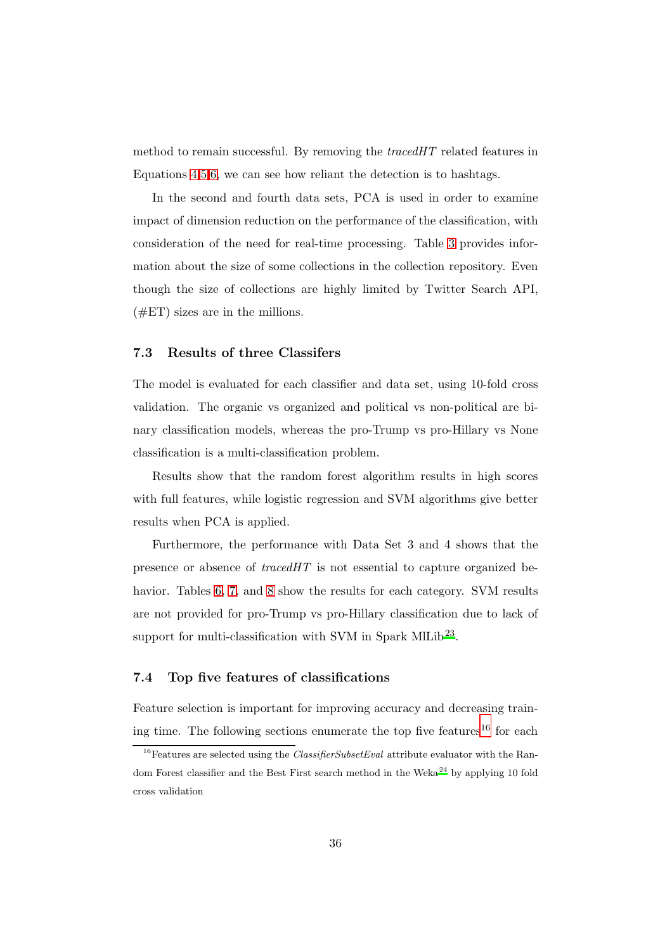method to remain successful. By removing the *tracedHT* related features in Equations [4,](#page-19-1)[5](#page-19-2)[,6,](#page-20-1) we can see how reliant the detection is to hashtags.

In the second and fourth data sets, PCA is used in order to examine impact of dimension reduction on the performance of the classification, with consideration of the need for real-time processing. Table [3](#page-28-0) provides information about the size of some collections in the collection repository. Even though the size of collections are highly limited by Twitter Search API,  $(\#ET)$  sizes are in the millions.

## <span id="page-35-0"></span>7.3 Results of three Classifers

The model is evaluated for each classifier and data set, using 10-fold cross validation. The organic vs organized and political vs non-political are binary classification models, whereas the pro-Trump vs pro-Hillary vs None classification is a multi-classification problem.

Results show that the random forest algorithm results in high scores with full features, while logistic regression and SVM algorithms give better results when PCA is applied.

Furthermore, the performance with Data Set 3 and 4 shows that the presence or absence of *tracedHT* is not essential to capture organized be-havior. Tables [6,](#page-36-0) [7,](#page-37-0) and [8](#page-37-1) show the results for each category. SVM results are not provided for pro-Trump vs pro-Hillary classification due to lack of support for multi-classification with SVM in Spark MlLib<sup>[23](#page-47-3)</sup>.

## 7.4 Top five features of classifications

Feature selection is important for improving accuracy and decreasing train-ing time. The following sections enumerate the top five features<sup>[16](#page-35-1)</sup> for each

<span id="page-35-1"></span><sup>&</sup>lt;sup>16</sup>Features are selected using the *ClassifierSubsetEval* attribute evaluator with the Random Forest classifier and the Best First search method in the Weka $^{24}$  by applying 10 fold cross validation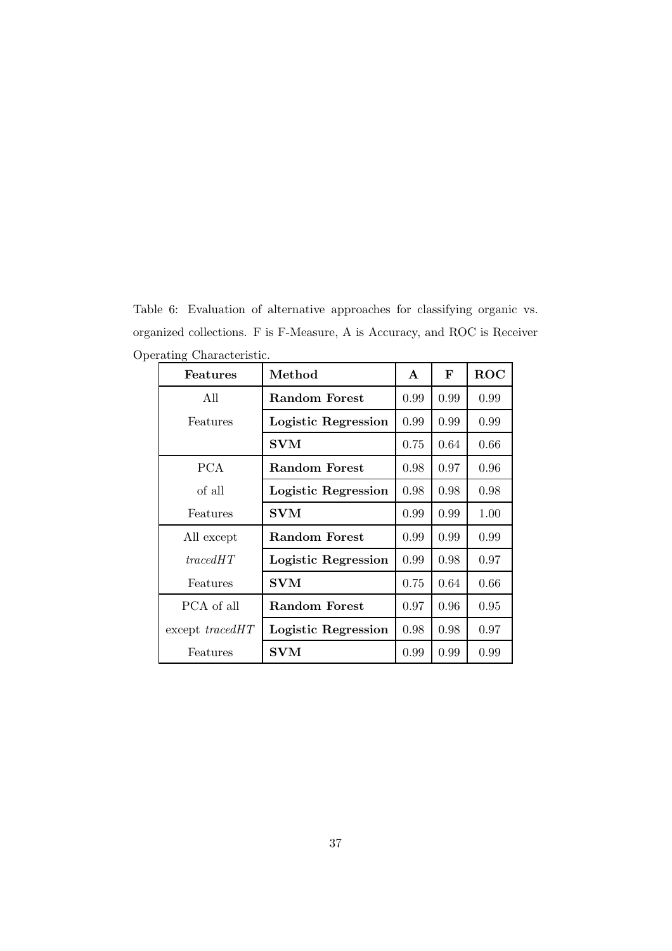<span id="page-36-0"></span>Table 6: Evaluation of alternative approaches for classifying organic vs. organized collections. F is F-Measure, A is Accuracy, and ROC is Receiver Operating Characteristic.

| <b>Features</b>     | Method               | $\mathbf{A}$ | F    | <b>ROC</b> |
|---------------------|----------------------|--------------|------|------------|
| All                 | Random Forest        | 0.99         | 0.99 | 0.99       |
| Features            | Logistic Regression  | 0.99         | 0.99 | 0.99       |
|                     | <b>SVM</b>           | 0.75         | 0.64 | 0.66       |
| <b>PCA</b>          | <b>Random Forest</b> | 0.98         | 0.97 | 0.96       |
| of all              | Logistic Regression  | 0.98         | 0.98 | 0.98       |
| Features            | $\mathbf{SVM}$       | 0.99         | 0.99 | 1.00       |
| All except          | Random Forest        | 0.99         | 0.99 | 0.99       |
| tracedHT            | Logistic Regression  | 0.99         | 0.98 | 0.97       |
| Features            | <b>SVM</b>           | 0.75         | 0.64 | 0.66       |
| PCA of all          | Random Forest        | 0.97         | 0.96 | 0.95       |
| $except\ trace dHT$ | Logistic Regression  | 0.98         | 0.98 | 0.97       |
| Features            | $\mathbf{SVM}$       | 0.99         | 0.99 | 0.99       |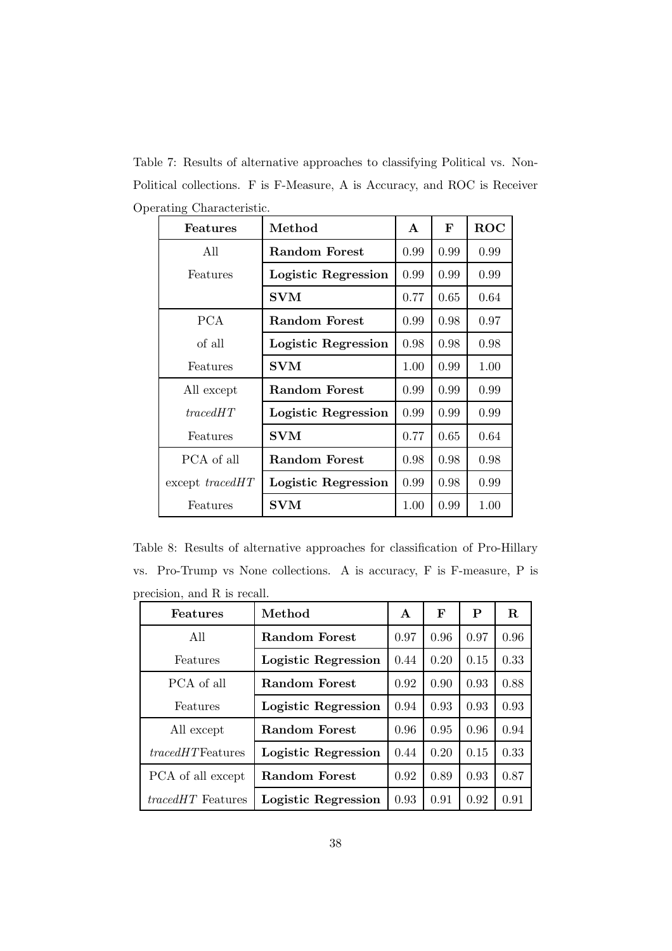<span id="page-37-0"></span>Table 7: Results of alternative approaches to classifying Political vs. Non-Political collections. F is F-Measure, A is Accuracy, and ROC is Receiver Operating Characteristic. ٦

| <b>Features</b>     | Method               | A    | F    | <b>ROC</b> |
|---------------------|----------------------|------|------|------------|
| All                 | Random Forest        | 0.99 | 0.99 | 0.99       |
| Features            | Logistic Regression  | 0.99 | 0.99 | 0.99       |
|                     | <b>SVM</b>           | 0.77 | 0.65 | 0.64       |
| <b>PCA</b>          | Random Forest        | 0.99 | 0.98 | 0.97       |
| of all              | Logistic Regression  | 0.98 | 0.98 | 0.98       |
| Features            | <b>SVM</b>           | 1.00 | 0.99 | 1.00       |
| All except          | Random Forest        | 0.99 | 0.99 | 0.99       |
| tracedHT            | Logistic Regression  | 0.99 | 0.99 | 0.99       |
| Features            | <b>SVM</b>           | 0.77 | 0.65 | 0.64       |
| PCA of all          | <b>Random Forest</b> | 0.98 | 0.98 | 0.98       |
| $except\ trace dHT$ | Logistic Regression  | 0.99 | 0.98 | 0.99       |
| Features            | <b>SVM</b>           | 1.00 | 0.99 | 1.00       |

<span id="page-37-1"></span>Table 8: Results of alternative approaches for classification of Pro-Hillary vs. Pro-Trump vs None collections. A is accuracy, F is F-measure, P is precision, and R is recall.

| Features                 | Method               | $\mathbf{A}$ | F    | P    | R.   |
|--------------------------|----------------------|--------------|------|------|------|
| All                      | Random Forest        | 0.97         | 0.96 | 0.97 | 0.96 |
| Features                 | Logistic Regression  | 0.44         | 0.20 | 0.15 | 0.33 |
| PCA of all               | <b>Random Forest</b> | 0.92         | 0.90 | 0.93 | 0.88 |
| Features                 | Logistic Regression  | 0.94         | 0.93 | 0.93 | 0.93 |
| All except               | <b>Random Forest</b> | 0.96         | 0.95 | 0.96 | 0.94 |
| <i>tracedHT</i> Features | Logistic Regression  | 0.44         | 0.20 | 0.15 | 0.33 |
| PCA of all except        | Random Forest        | 0.92         | 0.89 | 0.93 | 0.87 |
| <i>tracedHT</i> Features | Logistic Regression  | 0.93         | 0.91 | 0.92 | 0.91 |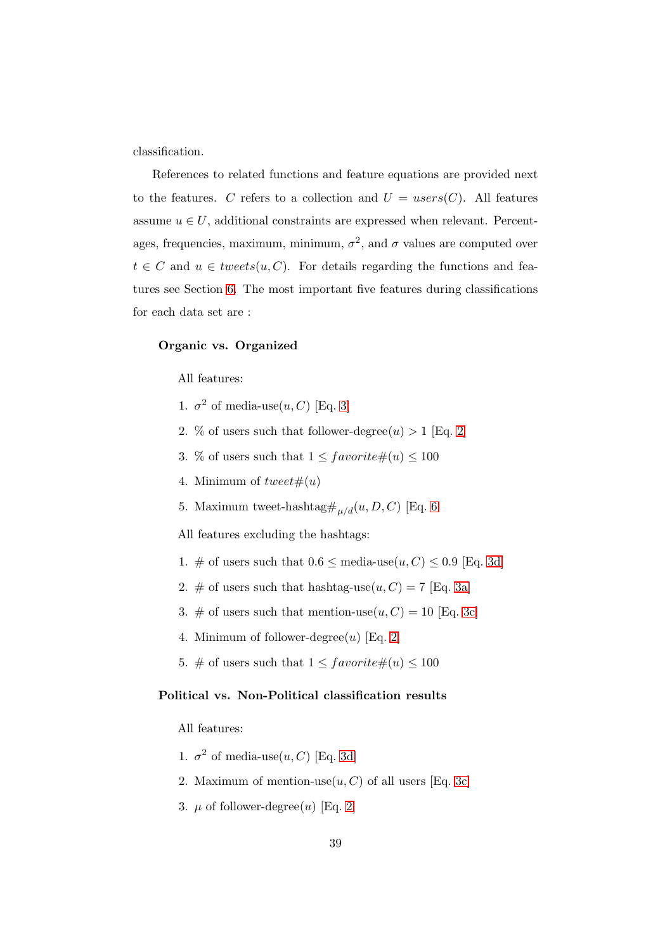classification.

References to related functions and feature equations are provided next to the features. C refers to a collection and  $U = users(C)$ . All features assume  $u \in U$ , additional constraints are expressed when relevant. Percentages, frequencies, maximum, minimum,  $\sigma^2$ , and  $\sigma$  values are computed over  $t \in C$  and  $u \in \mathit{tweets}(u, C)$ . For details regarding the functions and features see Section [6.](#page-15-0) The most important five features during classifications for each data set are :

#### Organic vs. Organized

All features:

- 1.  $\sigma^2$  of media-use $(u, C)$  [Eq. [3\]](#page-19-3)
- 2. % of users such that follower-degree $(u) > 1$  [Eq. [2\]](#page-18-1)
- 3. % of users such that  $1 \leq \text{favorite} \#(u) \leq 100$
- 4. Minimum of  $tweet\#(u)$
- 5. Maximum tweet-hashtag<br/># $_{\mu/d}(u,D,C)$  [Eq. [6](#page-20-1)

All features excluding the hashtags:

- 1. # of users such that  $0.6 \le \text{media-use}(u, C) \le 0.9$  [Eq. [3d\]](#page-19-4)
- 2. # of users such that hashtag-use $(u, C) = 7$  [Eq. [3a\]](#page-19-5)
- 3. # of users such that mention-use $(u, C) = 10$  [Eq. [3c\]](#page-19-6)
- 4. Minimum of follower-degree $(u)$  [Eq. [2\]](#page-18-1)
- 5. # of users such that  $1 \leq$  favorite# $(u) \leq 100$

## Political vs. Non-Political classification results

All features:

- 1.  $\sigma^2$  of media-use $(u, C)$  [Eq. [3d\]](#page-19-4)
- 2. Maximum of mention-use $(u, C)$  of all users [Eq. [3c\]](#page-19-6)
- 3.  $\mu$  of follower-degree(u) [Eq. [2\]](#page-18-1)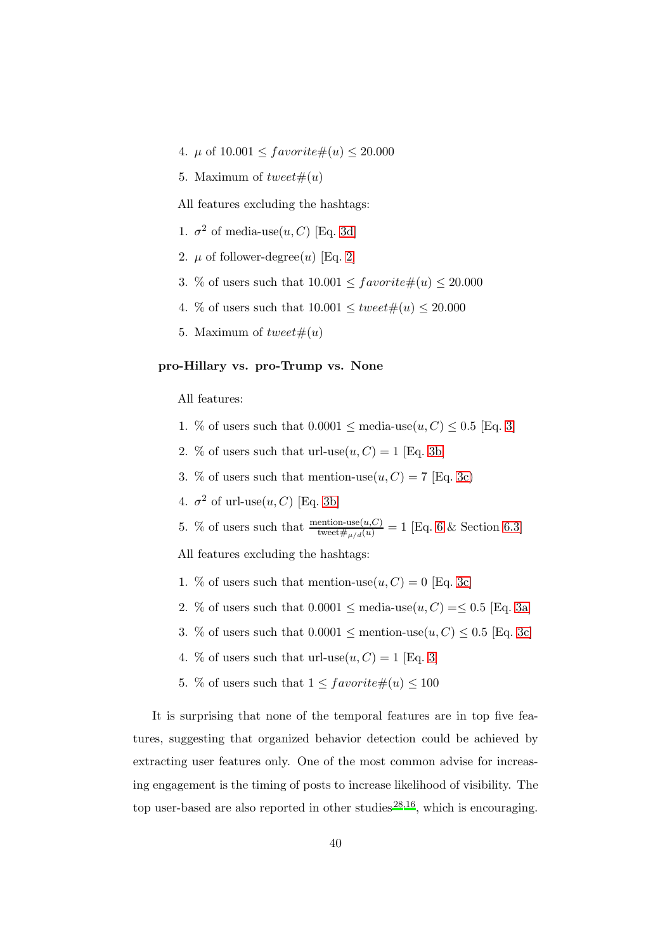- 4.  $\mu$  of  $10.001 \leq \text{favorite} \#(u) \leq 20.000$
- 5. Maximum of  $tweet\#(u)$

All features excluding the hashtags:

- 1.  $\sigma^2$  of media-use $(u, C)$  [Eq. [3d\]](#page-19-4)
- 2.  $\mu$  of follower-degree(u) [Eq. [2\]](#page-18-1)
- 3. % of users such that  $10.001 \leq \text{favorite} \#(u) \leq 20.000$
- 4. % of users such that  $10.001 \le \text{twect} \#(u) \le 20.000$
- 5. Maximum of  $tweet\#(u)$

## pro-Hillary vs. pro-Trump vs. None

All features:

- 1. % of users such that  $0.0001 \leq \text{media-use}(u, C) \leq 0.5$  [Eq. [3\]](#page-19-3)
- 2. % of users such that url-use $(u, C) = 1$  [Eq. [3b\]](#page-19-7)
- 3. % of users such that mention-use $(u, C) = 7$  [Eq. [3c\)](#page-19-6)
- 4.  $\sigma^2$  of url-use $(u, C)$  [Eq. [3b\]](#page-19-7)
- 5. % of users such that  $\frac{\text{motion-use}(u,C)}{\text{treet#}_{\mu/d}(u)} = 1$  [Eq. [6](#page-20-1) & Section [6.3\]](#page-24-0)

All features excluding the hashtags:

- 1. % of users such that mention-use $(u, C) = 0$  [Eq. [3c\]](#page-19-6)
- 2. % of users such that  $0.0001 \le \text{media-use}(u, C) = \le 0.5$  [Eq. [3a\]](#page-19-5)
- 3. % of users such that  $0.0001 \leq \text{mentioned}(u, C) \leq 0.5$  [Eq. [3c\]](#page-19-6)
- 4. % of users such that url-use $(u, C) = 1$  [Eq. [3\]](#page-19-3)
- 5. % of users such that  $1 \leq \text{favorite} \#(u) \leq 100$

It is surprising that none of the temporal features are in top five features, suggesting that organized behavior detection could be achieved by extracting user features only. One of the most common advise for increasing engagement is the timing of posts to increase likelihood of visibility. The top user-based are also reported in other studies<sup>[28](#page-47-8)[,16](#page-46-8)</sup>, which is encouraging.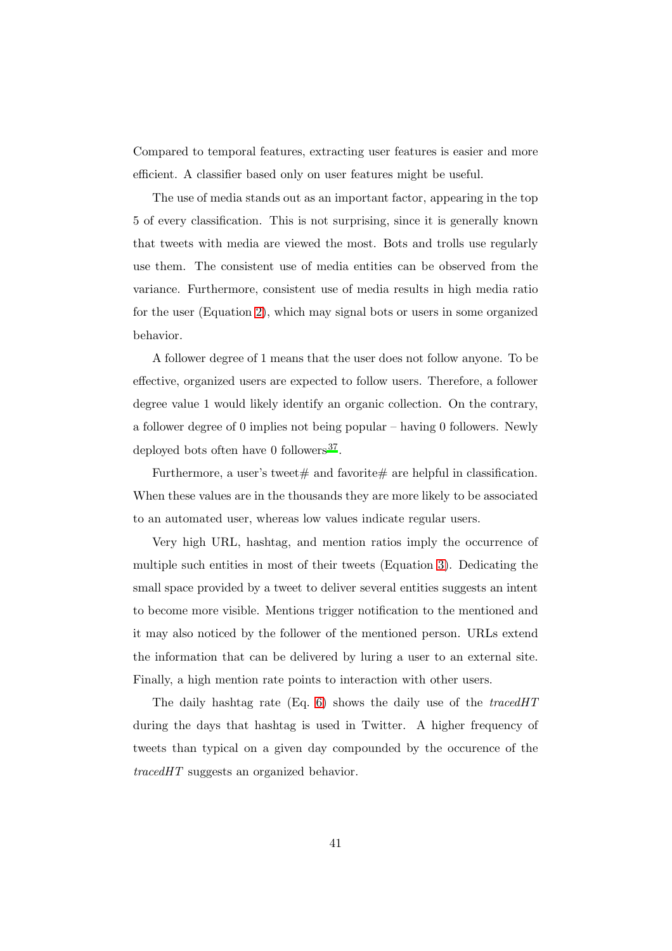Compared to temporal features, extracting user features is easier and more efficient. A classifier based only on user features might be useful.

The use of media stands out as an important factor, appearing in the top 5 of every classification. This is not surprising, since it is generally known that tweets with media are viewed the most. Bots and trolls use regularly use them. The consistent use of media entities can be observed from the variance. Furthermore, consistent use of media results in high media ratio for the user (Equation [2\)](#page-18-1), which may signal bots or users in some organized behavior.

A follower degree of 1 means that the user does not follow anyone. To be effective, organized users are expected to follow users. Therefore, a follower degree value 1 would likely identify an organic collection. On the contrary, a follower degree of 0 implies not being popular – having 0 followers. Newly deployed bots often have 0 followers<sup>[37](#page-48-8)</sup>.

Furthermore, a user's tweet  $\#$  and favorite  $\#$  are helpful in classification. When these values are in the thousands they are more likely to be associated to an automated user, whereas low values indicate regular users.

Very high URL, hashtag, and mention ratios imply the occurrence of multiple such entities in most of their tweets (Equation [3\)](#page-19-3). Dedicating the small space provided by a tweet to deliver several entities suggests an intent to become more visible. Mentions trigger notification to the mentioned and it may also noticed by the follower of the mentioned person. URLs extend the information that can be delivered by luring a user to an external site. Finally, a high mention rate points to interaction with other users.

The daily hashtag rate (Eq. [6\)](#page-20-1) shows the daily use of the *tracedHT* during the days that hashtag is used in Twitter. A higher frequency of tweets than typical on a given day compounded by the occurence of the *tracedHT* suggests an organized behavior.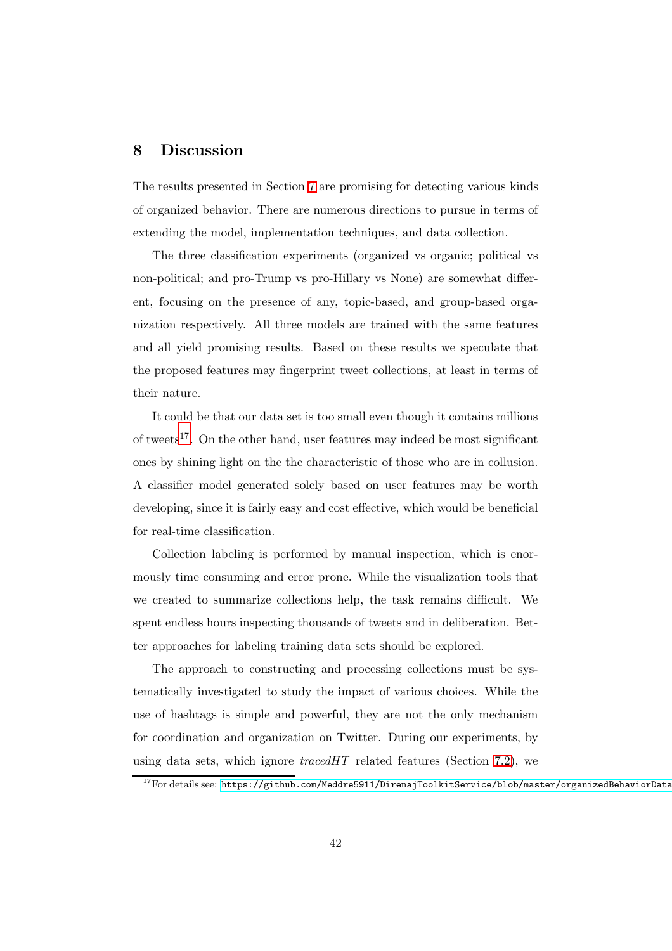## <span id="page-41-0"></span>8 Discussion

The results presented in Section [7](#page-25-0) are promising for detecting various kinds of organized behavior. There are numerous directions to pursue in terms of extending the model, implementation techniques, and data collection.

The three classification experiments (organized vs organic; political vs non-political; and pro-Trump vs pro-Hillary vs None) are somewhat different, focusing on the presence of any, topic-based, and group-based organization respectively. All three models are trained with the same features and all yield promising results. Based on these results we speculate that the proposed features may fingerprint tweet collections, at least in terms of their nature.

It could be that our data set is too small even though it contains millions of tweets<sup>[17](#page-41-1)</sup>. On the other hand, user features may indeed be most significant ones by shining light on the the characteristic of those who are in collusion. A classifier model generated solely based on user features may be worth developing, since it is fairly easy and cost effective, which would be beneficial for real-time classification.

Collection labeling is performed by manual inspection, which is enormously time consuming and error prone. While the visualization tools that we created to summarize collections help, the task remains difficult. We spent endless hours inspecting thousands of tweets and in deliberation. Better approaches for labeling training data sets should be explored.

The approach to constructing and processing collections must be systematically investigated to study the impact of various choices. While the use of hashtags is simple and powerful, they are not the only mechanism for coordination and organization on Twitter. During our experiments, by using data sets, which ignore *tracedHT* related features (Section [7.2\)](#page-34-1), we

<span id="page-41-1"></span> $17$ For details see: https://github.com/Meddre5911/DirenajToolkitService/blob/master/organizedBehaviorData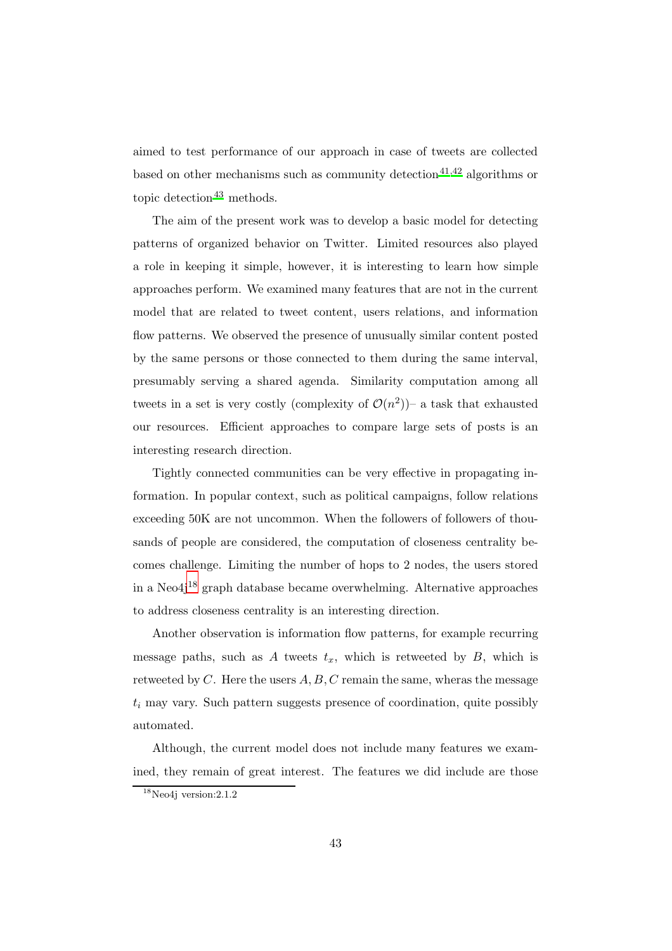aimed to test performance of our approach in case of tweets are collected based on other mechanisms such as community detection<sup>[41](#page-49-3)[,42](#page-49-4)</sup> algorithms or topic detection $43$  methods.

The aim of the present work was to develop a basic model for detecting patterns of organized behavior on Twitter. Limited resources also played a role in keeping it simple, however, it is interesting to learn how simple approaches perform. We examined many features that are not in the current model that are related to tweet content, users relations, and information flow patterns. We observed the presence of unusually similar content posted by the same persons or those connected to them during the same interval, presumably serving a shared agenda. Similarity computation among all tweets in a set is very costly (complexity of  $\mathcal{O}(n^2)$ ) a task that exhausted our resources. Efficient approaches to compare large sets of posts is an interesting research direction.

Tightly connected communities can be very effective in propagating information. In popular context, such as political campaigns, follow relations exceeding 50K are not uncommon. When the followers of followers of thousands of people are considered, the computation of closeness centrality becomes challenge. Limiting the number of hops to 2 nodes, the users stored in a Neo $4i^{18}$  $4i^{18}$  $4i^{18}$  graph database became overwhelming. Alternative approaches to address closeness centrality is an interesting direction.

Another observation is information flow patterns, for example recurring message paths, such as A tweets  $t_x$ , which is retweeted by B, which is retweeted by  $C$ . Here the users  $A, B, C$  remain the same, wheras the message  $t_i$  may vary. Such pattern suggests presence of coordination, quite possibly automated.

Although, the current model does not include many features we examined, they remain of great interest. The features we did include are those

<span id="page-42-0"></span><sup>18</sup>Neo4j version:2.1.2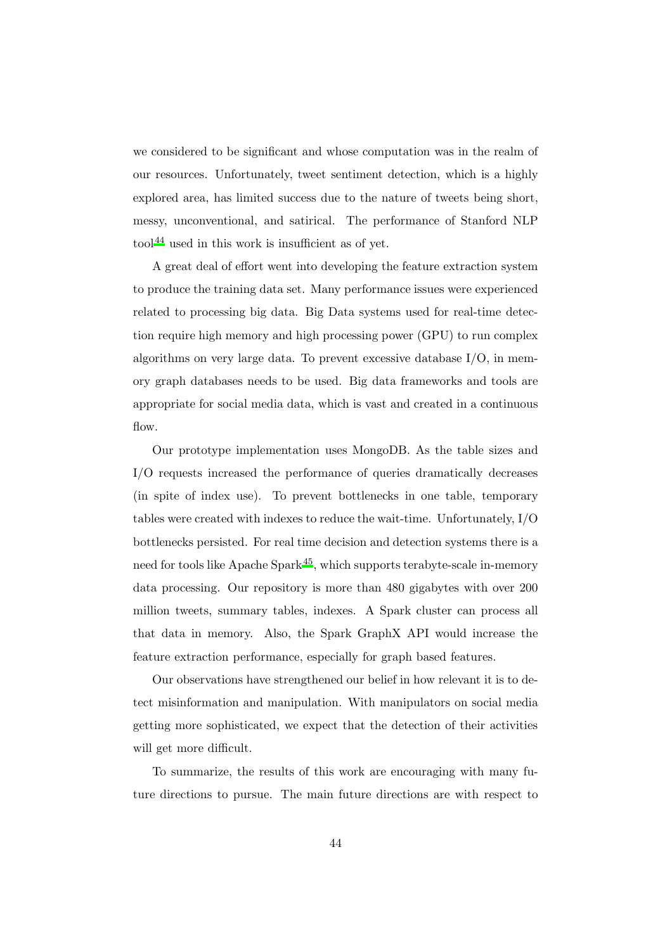we considered to be significant and whose computation was in the realm of our resources. Unfortunately, tweet sentiment detection, which is a highly explored area, has limited success due to the nature of tweets being short, messy, unconventional, and satirical. The performance of Stanford NLP tool[44](#page-49-6) used in this work is insufficient as of yet.

A great deal of effort went into developing the feature extraction system to produce the training data set. Many performance issues were experienced related to processing big data. Big Data systems used for real-time detection require high memory and high processing power (GPU) to run complex algorithms on very large data. To prevent excessive database I/O, in memory graph databases needs to be used. Big data frameworks and tools are appropriate for social media data, which is vast and created in a continuous flow.

Our prototype implementation uses MongoDB. As the table sizes and I/O requests increased the performance of queries dramatically decreases (in spite of index use). To prevent bottlenecks in one table, temporary tables were created with indexes to reduce the wait-time. Unfortunately, I/O bottlenecks persisted. For real time decision and detection systems there is a need for tools like Apache Spark $45$ , which supports terabyte-scale in-memory data processing. Our repository is more than 480 gigabytes with over 200 million tweets, summary tables, indexes. A Spark cluster can process all that data in memory. Also, the Spark GraphX API would increase the feature extraction performance, especially for graph based features.

Our observations have strengthened our belief in how relevant it is to detect misinformation and manipulation. With manipulators on social media getting more sophisticated, we expect that the detection of their activities will get more difficult.

To summarize, the results of this work are encouraging with many future directions to pursue. The main future directions are with respect to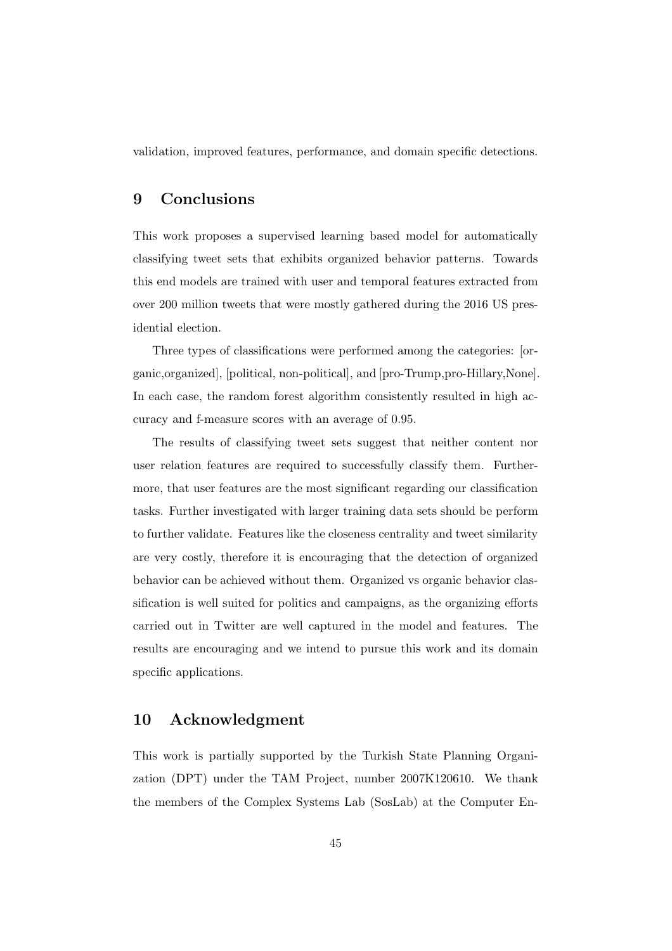<span id="page-44-0"></span>validation, improved features, performance, and domain specific detections.

# 9 Conclusions

This work proposes a supervised learning based model for automatically classifying tweet sets that exhibits organized behavior patterns. Towards this end models are trained with user and temporal features extracted from over 200 million tweets that were mostly gathered during the 2016 US presidential election.

Three types of classifications were performed among the categories: [organic,organized], [political, non-political], and [pro-Trump,pro-Hillary,None]. In each case, the random forest algorithm consistently resulted in high accuracy and f-measure scores with an average of 0.95.

The results of classifying tweet sets suggest that neither content nor user relation features are required to successfully classify them. Furthermore, that user features are the most significant regarding our classification tasks. Further investigated with larger training data sets should be perform to further validate. Features like the closeness centrality and tweet similarity are very costly, therefore it is encouraging that the detection of organized behavior can be achieved without them. Organized vs organic behavior classification is well suited for politics and campaigns, as the organizing efforts carried out in Twitter are well captured in the model and features. The results are encouraging and we intend to pursue this work and its domain specific applications.

## 10 Acknowledgment

This work is partially supported by the Turkish State Planning Organization (DPT) under the TAM Project, number 2007K120610. We thank the members of the Complex Systems Lab (SosLab) at the Computer En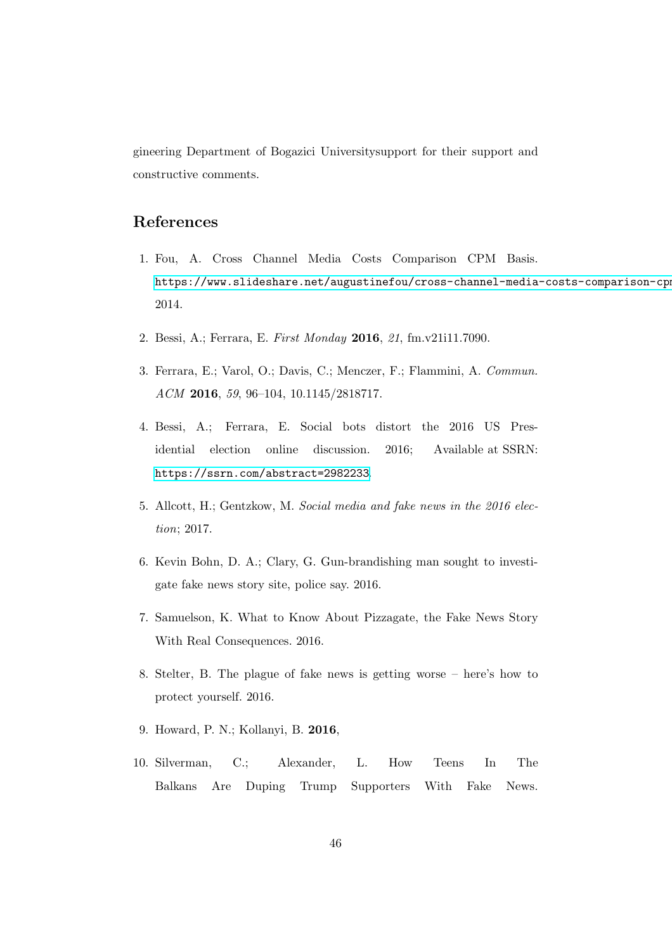gineering Department of Bogazici Universitysupport for their support and constructive comments.

# References

- <span id="page-45-0"></span>1. Fou, A. Cross Channel Media Costs Comparison CPM Basis. https://www.slideshare.net/augustinefou/cross-channel-media-costs-comparison-cpm 2014.
- <span id="page-45-1"></span>2. Bessi, A.; Ferrara, E. *First Monday* 2016, *21*, fm.v21i11.7090.
- <span id="page-45-2"></span>3. Ferrara, E.; Varol, O.; Davis, C.; Menczer, F.; Flammini, A. *Commun. ACM* 2016, *59*, 96–104, 10.1145/2818717.
- <span id="page-45-3"></span>4. Bessi, A.; Ferrara, E. Social bots distort the 2016 US Presidential election online discussion. 2016; Available at SSRN: <https://ssrn.com/abstract=2982233>.
- <span id="page-45-4"></span>5. Allcott, H.; Gentzkow, M. *Social media and fake news in the 2016 election*; 2017.
- <span id="page-45-5"></span>6. Kevin Bohn, D. A.; Clary, G. Gun-brandishing man sought to investigate fake news story site, police say. 2016.
- <span id="page-45-6"></span>7. Samuelson, K. What to Know About Pizzagate, the Fake News Story With Real Consequences. 2016.
- <span id="page-45-7"></span>8. Stelter, B. The plague of fake news is getting worse – here's how to protect yourself. 2016.
- <span id="page-45-8"></span>9. Howard, P. N.; Kollanyi, B. 2016,
- <span id="page-45-9"></span>10. Silverman, C.; Alexander, L. How Teens In The Balkans Are Duping Trump Supporters With Fake News.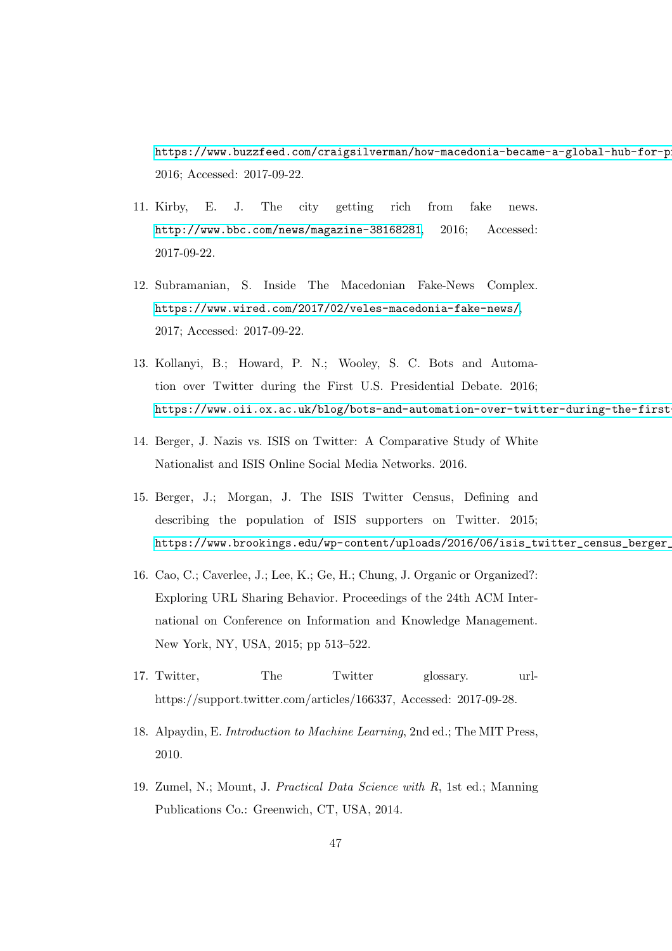https://www.buzzfeed.com/craigsilverman/how-macedonia-became-a-global-hub-for-p 2016; Accessed: 2017-09-22.

- <span id="page-46-0"></span>11. Kirby, E. J. The city getting rich from fake news. <http://www.bbc.com/news/magazine-38168281>, 2016; Accessed: 2017-09-22.
- <span id="page-46-1"></span>12. Subramanian, S. Inside The Macedonian Fake-News Complex. <https://www.wired.com/2017/02/veles-macedonia-fake-news/>, 2017; Accessed: 2017-09-22.
- <span id="page-46-2"></span>13. Kollanyi, B.; Howard, P. N.; Wooley, S. C. Bots and Automation over Twitter during the First U.S. Presidential Debate. 2016; https://www.oii.ox.ac.uk/blog/bots-and-automation-over-twitter-during-the-first
- <span id="page-46-3"></span>14. Berger, J. Nazis vs. ISIS on Twitter: A Comparative Study of White Nationalist and ISIS Online Social Media Networks. 2016.
- <span id="page-46-4"></span>15. Berger, J.; Morgan, J. The ISIS Twitter Census, Defining and describing the population of ISIS supporters on Twitter. 2015; https://www.brookings.edu/wp-content/uploads/2016/06/isis\_twitter\_census\_berger\_
- <span id="page-46-8"></span>16. Cao, C.; Caverlee, J.; Lee, K.; Ge, H.; Chung, J. Organic or Organized?: Exploring URL Sharing Behavior. Proceedings of the 24th ACM International on Conference on Information and Knowledge Management. New York, NY, USA, 2015; pp 513–522.
- <span id="page-46-5"></span>17. Twitter, The Twitter glossary. urlhttps://support.twitter.com/articles/166337, Accessed: 2017-09-28.
- <span id="page-46-6"></span>18. Alpaydin, E. *Introduction to Machine Learning*, 2nd ed.; The MIT Press, 2010.
- <span id="page-46-7"></span>19. Zumel, N.; Mount, J. *Practical Data Science with R*, 1st ed.; Manning Publications Co.: Greenwich, CT, USA, 2014.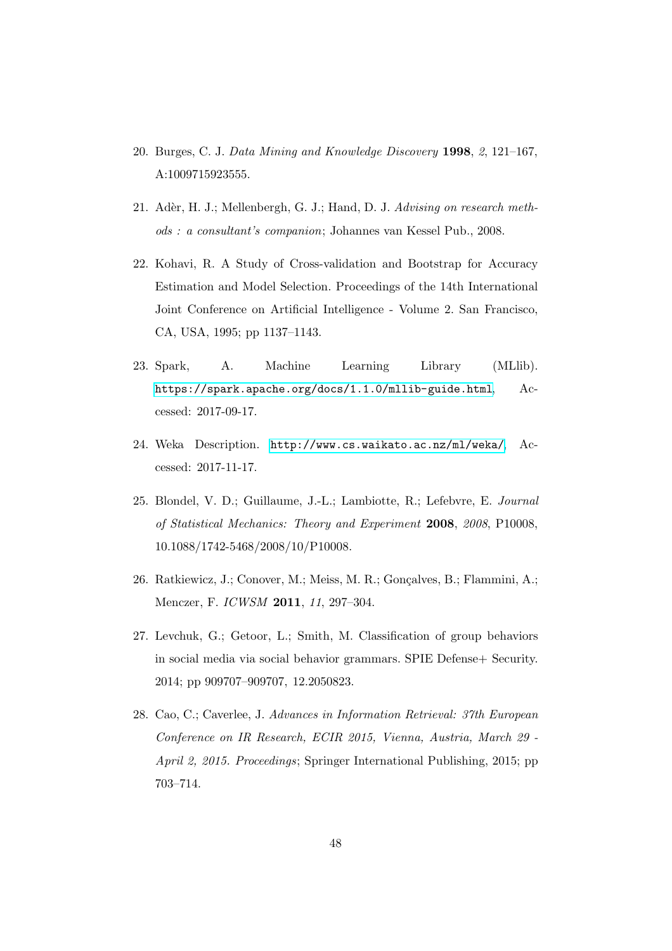- <span id="page-47-0"></span>20. Burges, C. J. *Data Mining and Knowledge Discovery* 1998, *2*, 121–167, A:1009715923555.
- <span id="page-47-1"></span>21. Adèr, H. J.; Mellenbergh, G. J.; Hand, D. J. *Advising on research methods : a consultant's companion*; Johannes van Kessel Pub., 2008.
- <span id="page-47-2"></span>22. Kohavi, R. A Study of Cross-validation and Bootstrap for Accuracy Estimation and Model Selection. Proceedings of the 14th International Joint Conference on Artificial Intelligence - Volume 2. San Francisco, CA, USA, 1995; pp 1137–1143.
- <span id="page-47-3"></span>23. Spark, A. Machine Learning Library (MLlib). <https://spark.apache.org/docs/1.1.0/mllib-guide.html>, Accessed: 2017-09-17.
- <span id="page-47-4"></span>24. Weka Description. <http://www.cs.waikato.ac.nz/ml/weka/>, Accessed: 2017-11-17.
- <span id="page-47-5"></span>25. Blondel, V. D.; Guillaume, J.-L.; Lambiotte, R.; Lefebvre, E. *Journal of Statistical Mechanics: Theory and Experiment* 2008, *2008*, P10008, 10.1088/1742-5468/2008/10/P10008.
- <span id="page-47-6"></span>26. Ratkiewicz, J.; Conover, M.; Meiss, M. R.; Goncalves, B.; Flammini, A.; Menczer, F. *ICWSM* 2011, *11*, 297–304.
- <span id="page-47-7"></span>27. Levchuk, G.; Getoor, L.; Smith, M. Classification of group behaviors in social media via social behavior grammars. SPIE Defense+ Security. 2014; pp 909707–909707, 12.2050823.
- <span id="page-47-8"></span>28. Cao, C.; Caverlee, J. *Advances in Information Retrieval: 37th European Conference on IR Research, ECIR 2015, Vienna, Austria, March 29 - April 2, 2015. Proceedings*; Springer International Publishing, 2015; pp 703–714.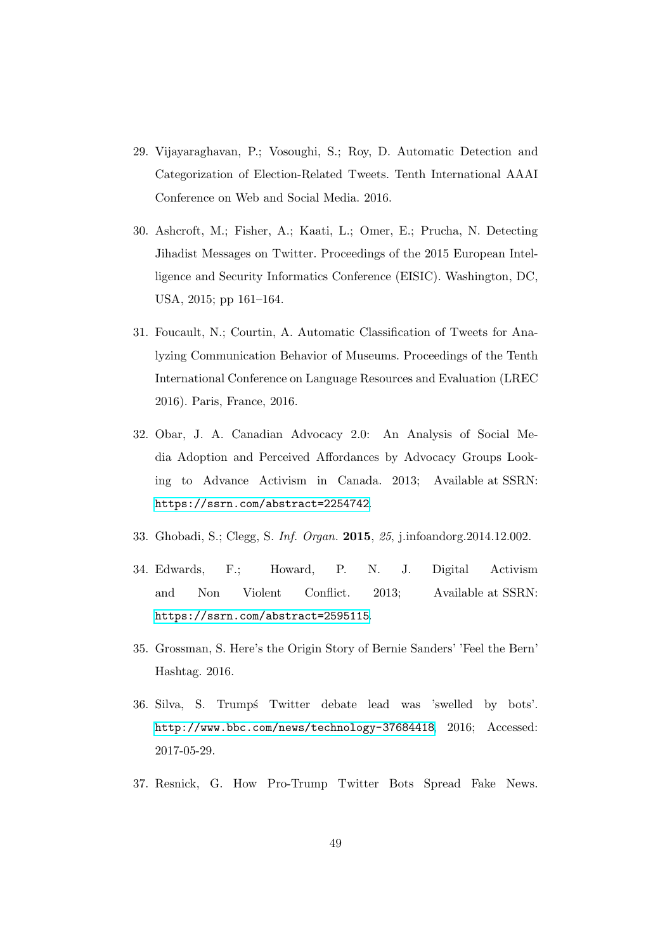- <span id="page-48-0"></span>29. Vijayaraghavan, P.; Vosoughi, S.; Roy, D. Automatic Detection and Categorization of Election-Related Tweets. Tenth International AAAI Conference on Web and Social Media. 2016.
- <span id="page-48-1"></span>30. Ashcroft, M.; Fisher, A.; Kaati, L.; Omer, E.; Prucha, N. Detecting Jihadist Messages on Twitter. Proceedings of the 2015 European Intelligence and Security Informatics Conference (EISIC). Washington, DC, USA, 2015; pp 161–164.
- <span id="page-48-2"></span>31. Foucault, N.; Courtin, A. Automatic Classification of Tweets for Analyzing Communication Behavior of Museums. Proceedings of the Tenth International Conference on Language Resources and Evaluation (LREC 2016). Paris, France, 2016.
- <span id="page-48-3"></span>32. Obar, J. A. Canadian Advocacy 2.0: An Analysis of Social Media Adoption and Perceived Affordances by Advocacy Groups Looking to Advance Activism in Canada. 2013; Available at SSRN: <https://ssrn.com/abstract=2254742>.
- <span id="page-48-4"></span>33. Ghobadi, S.; Clegg, S. *Inf. Organ.* 2015, *25*, j.infoandorg.2014.12.002.
- <span id="page-48-5"></span>34. Edwards, F.; Howard, P. N. J. Digital Activism and Non Violent Conflict. 2013; Available at SSRN: <https://ssrn.com/abstract=2595115>.
- <span id="page-48-6"></span>35. Grossman, S. Here's the Origin Story of Bernie Sanders' 'Feel the Bern' Hashtag. 2016.
- <span id="page-48-7"></span>36. Silva, S. Trump´s Twitter debate lead was 'swelled by bots'. <http://www.bbc.com/news/technology-37684418>, 2016; Accessed: 2017-05-29.
- <span id="page-48-8"></span>37. Resnick, G. How Pro-Trump Twitter Bots Spread Fake News.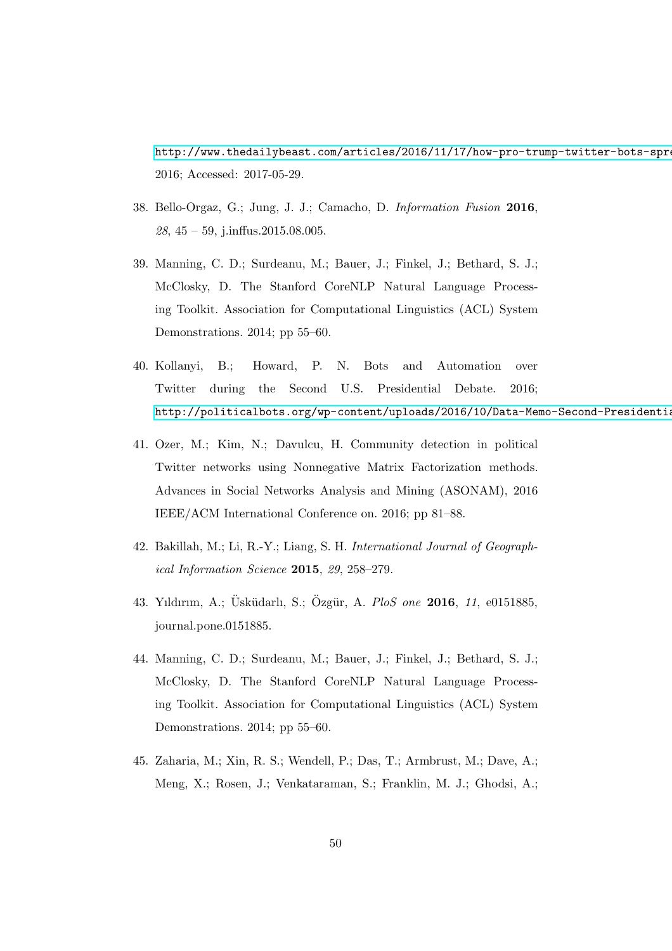http://www.thedailybeast.com/articles/2016/11/17/how-pro-trump-twitter-bots-spre 2016; Accessed: 2017-05-29.

- <span id="page-49-0"></span>38. Bello-Orgaz, G.; Jung, J. J.; Camacho, D. *Information Fusion* 2016, *28*, 45 – 59, j.inffus.2015.08.005.
- <span id="page-49-1"></span>39. Manning, C. D.; Surdeanu, M.; Bauer, J.; Finkel, J.; Bethard, S. J.; McClosky, D. The Stanford CoreNLP Natural Language Processing Toolkit. Association for Computational Linguistics (ACL) System Demonstrations. 2014; pp 55–60.
- <span id="page-49-2"></span>40. Kollanyi, B.; Howard, P. N. Bots and Automation over Twitter during the Second U.S. Presidential Debate. 2016; http://politicalbots.org/wp-content/uploads/2016/10/Data-Memo-Second-Presidentia
- <span id="page-49-3"></span>41. Ozer, M.; Kim, N.; Davulcu, H. Community detection in political Twitter networks using Nonnegative Matrix Factorization methods. Advances in Social Networks Analysis and Mining (ASONAM), 2016 IEEE/ACM International Conference on. 2016; pp 81–88.
- <span id="page-49-4"></span>42. Bakillah, M.; Li, R.-Y.; Liang, S. H. *International Journal of Geographical Information Science* 2015, *29*, 258–279.
- <span id="page-49-5"></span>43. Yıldırım, A.; Üsküdarlı, S.; Özgür, A. PloS one **2016**, 11, e0151885, journal.pone.0151885.
- <span id="page-49-6"></span>44. Manning, C. D.; Surdeanu, M.; Bauer, J.; Finkel, J.; Bethard, S. J.; McClosky, D. The Stanford CoreNLP Natural Language Processing Toolkit. Association for Computational Linguistics (ACL) System Demonstrations. 2014; pp 55–60.
- <span id="page-49-7"></span>45. Zaharia, M.; Xin, R. S.; Wendell, P.; Das, T.; Armbrust, M.; Dave, A.; Meng, X.; Rosen, J.; Venkataraman, S.; Franklin, M. J.; Ghodsi, A.;